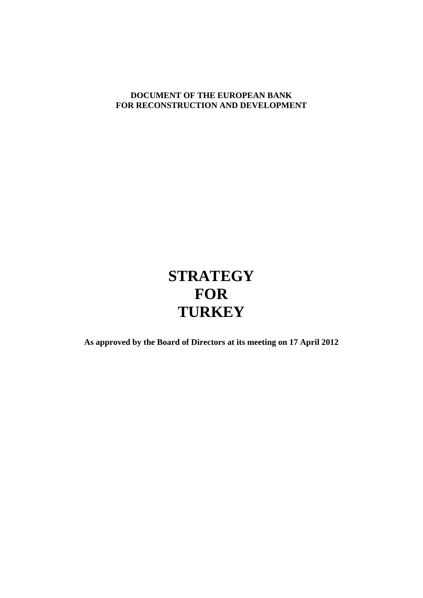# **DOCUMENT OF THE EUROPEAN BANK FOR RECONSTRUCTION AND DEVELOPMENT**

# **STRATEGY FOR TURKEY**

**As approved by the Board of Directors at its meeting on 17 April 2012**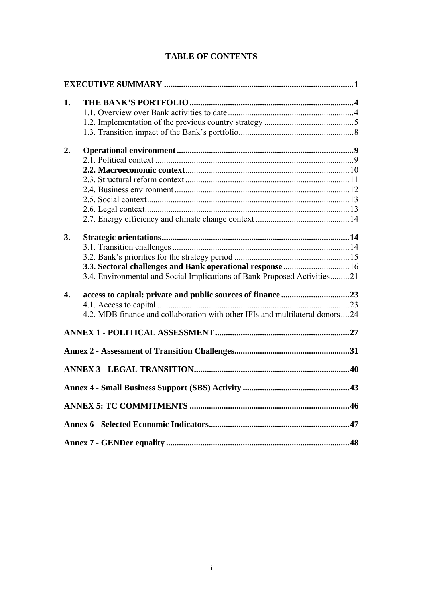# **TABLE OF CONTENTS**

| 1.               |                                                                              |  |
|------------------|------------------------------------------------------------------------------|--|
|                  |                                                                              |  |
|                  |                                                                              |  |
|                  |                                                                              |  |
| 2.               |                                                                              |  |
|                  |                                                                              |  |
|                  |                                                                              |  |
|                  |                                                                              |  |
|                  |                                                                              |  |
|                  |                                                                              |  |
|                  |                                                                              |  |
|                  |                                                                              |  |
| 3.               |                                                                              |  |
|                  |                                                                              |  |
|                  |                                                                              |  |
|                  | 3.3. Sectoral challenges and Bank operational response  16                   |  |
|                  | 3.4. Environmental and Social Implications of Bank Proposed Activities21     |  |
| $\overline{4}$ . |                                                                              |  |
|                  |                                                                              |  |
|                  | 4.2. MDB finance and collaboration with other IFIs and multilateral donors24 |  |
|                  |                                                                              |  |
|                  |                                                                              |  |
|                  |                                                                              |  |
|                  |                                                                              |  |
|                  |                                                                              |  |
|                  |                                                                              |  |
|                  |                                                                              |  |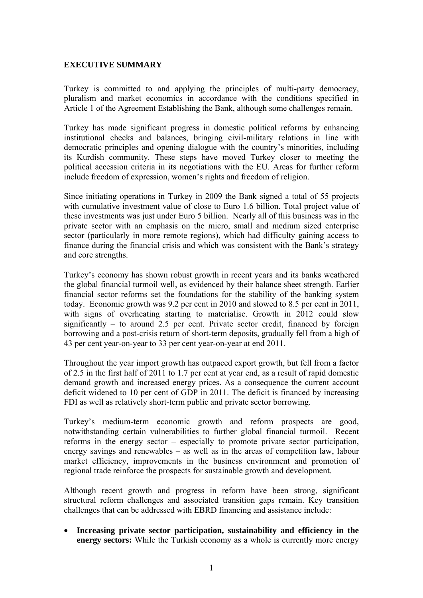### <span id="page-2-0"></span>**EXECUTIVE SUMMARY**

Turkey is committed to and applying the principles of multi-party democracy, pluralism and market economics in accordance with the conditions specified in Article 1 of the Agreement Establishing the Bank, although some challenges remain.

Turkey has made significant progress in domestic political reforms by enhancing institutional checks and balances, bringing civil-military relations in line with democratic principles and opening dialogue with the country's minorities, including its Kurdish community. These steps have moved Turkey closer to meeting the political accession criteria in its negotiations with the EU. Areas for further reform include freedom of expression, women's rights and freedom of religion.

Since initiating operations in Turkey in 2009 the Bank signed a total of 55 projects with cumulative investment value of close to Euro 1.6 billion. Total project value of these investments was just under Euro 5 billion. Nearly all of this business was in the private sector with an emphasis on the micro, small and medium sized enterprise sector (particularly in more remote regions), which had difficulty gaining access to finance during the financial crisis and which was consistent with the Bank's strategy and core strengths.

Turkey's economy has shown robust growth in recent years and its banks weathered the global financial turmoil well, as evidenced by their balance sheet strength. Earlier financial sector reforms set the foundations for the stability of the banking system today. Economic growth was 9.2 per cent in 2010 and slowed to 8.5 per cent in 2011, with signs of overheating starting to materialise. Growth in 2012 could slow significantly – to around 2.5 per cent. Private sector credit, financed by foreign borrowing and a post-crisis return of short-term deposits, gradually fell from a high of 43 per cent year-on-year to 33 per cent year-on-year at end 2011.

Throughout the year import growth has outpaced export growth, but fell from a factor of 2.5 in the first half of 2011 to 1.7 per cent at year end, as a result of rapid domestic demand growth and increased energy prices. As a consequence the current account deficit widened to 10 per cent of GDP in 2011. The deficit is financed by increasing FDI as well as relatively short-term public and private sector borrowing.

Turkey's medium-term economic growth and reform prospects are good, notwithstanding certain vulnerabilities to further global financial turmoil. Recent reforms in the energy sector – especially to promote private sector participation, energy savings and renewables – as well as in the areas of competition law, labour market efficiency, improvements in the business environment and promotion of regional trade reinforce the prospects for sustainable growth and development.

Although recent growth and progress in reform have been strong, significant structural reform challenges and associated transition gaps remain. Key transition challenges that can be addressed with EBRD financing and assistance include:

 **Increasing private sector participation, sustainability and efficiency in the energy sectors:** While the Turkish economy as a whole is currently more energy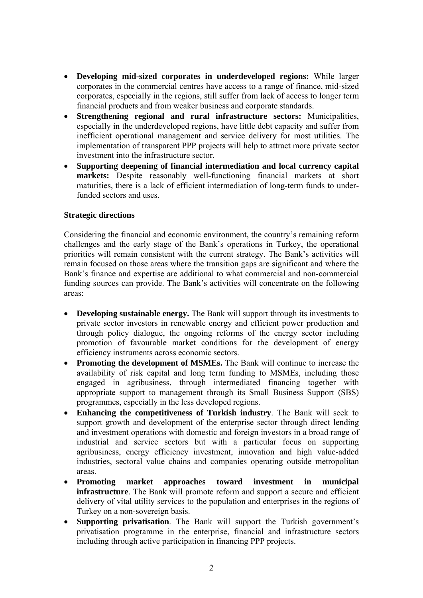- **Developing mid-sized corporates in underdeveloped regions:** While larger corporates in the commercial centres have access to a range of finance, mid-sized corporates, especially in the regions, still suffer from lack of access to longer term financial products and from weaker business and corporate standards.
- **Strengthening regional and rural infrastructure sectors:** Municipalities, especially in the underdeveloped regions, have little debt capacity and suffer from inefficient operational management and service delivery for most utilities. The implementation of transparent PPP projects will help to attract more private sector investment into the infrastructure sector.
- **Supporting deepening of financial intermediation and local currency capital markets:** Despite reasonably well-functioning financial markets at short maturities, there is a lack of efficient intermediation of long-term funds to underfunded sectors and uses.

### **Strategic directions**

Considering the financial and economic environment, the country's remaining reform challenges and the early stage of the Bank's operations in Turkey, the operational priorities will remain consistent with the current strategy. The Bank's activities will remain focused on those areas where the transition gaps are significant and where the Bank's finance and expertise are additional to what commercial and non-commercial funding sources can provide. The Bank's activities will concentrate on the following areas:

- **Developing sustainable energy.** The Bank will support through its investments to private sector investors in renewable energy and efficient power production and through policy dialogue, the ongoing reforms of the energy sector including promotion of favourable market conditions for the development of energy efficiency instruments across economic sectors.
- **Promoting the development of MSMEs.** The Bank will continue to increase the availability of risk capital and long term funding to MSMEs, including those engaged in agribusiness, through intermediated financing together with appropriate support to management through its Small Business Support (SBS) programmes, especially in the less developed regions.
- **Enhancing the competitiveness of Turkish industry**. The Bank will seek to support growth and development of the enterprise sector through direct lending and investment operations with domestic and foreign investors in a broad range of industrial and service sectors but with a particular focus on supporting agribusiness, energy efficiency investment, innovation and high value-added industries, sectoral value chains and companies operating outside metropolitan areas.
- **Promoting market approaches toward investment in municipal infrastructure**. The Bank will promote reform and support a secure and efficient delivery of vital utility services to the population and enterprises in the regions of Turkey on a non-sovereign basis.
- **Supporting privatisation**. The Bank will support the Turkish government's privatisation programme in the enterprise, financial and infrastructure sectors including through active participation in financing PPP projects.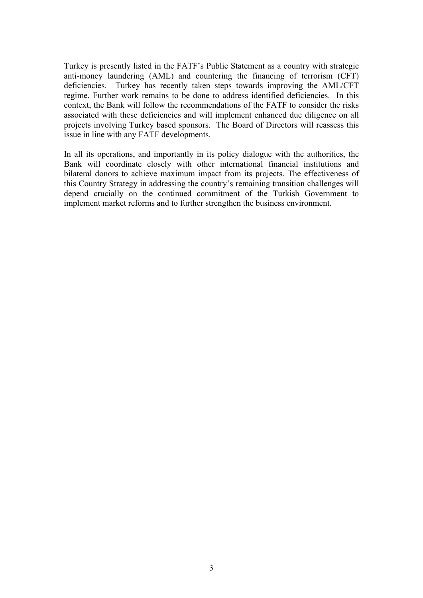Turkey is presently listed in the FATF's Public Statement as a country with strategic anti-money laundering (AML) and countering the financing of terrorism (CFT) deficiencies. Turkey has recently taken steps towards improving the AML/CFT regime. Further work remains to be done to address identified deficiencies. In this context, the Bank will follow the recommendations of the FATF to consider the risks associated with these deficiencies and will implement enhanced due diligence on all projects involving Turkey based sponsors. The Board of Directors will reassess this issue in line with any FATF developments.

In all its operations, and importantly in its policy dialogue with the authorities, the Bank will coordinate closely with other international financial institutions and bilateral donors to achieve maximum impact from its projects. The effectiveness of this Country Strategy in addressing the country's remaining transition challenges will depend crucially on the continued commitment of the Turkish Government to implement market reforms and to further strengthen the business environment.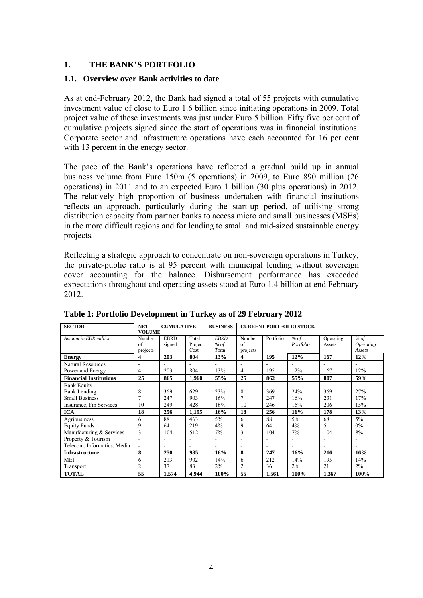# <span id="page-5-0"></span>**1. THE BANK'S PORTFOLIO**

# <span id="page-5-1"></span>**1.1. Overview over Bank activities to date**

As at end-February 2012, the Bank had signed a total of 55 projects with cumulative investment value of close to Euro 1.6 billion since initiating operations in 2009. Total project value of these investments was just under Euro 5 billion. Fifty five per cent of cumulative projects signed since the start of operations was in financial institutions. Corporate sector and infrastructure operations have each accounted for 16 per cent with 13 percent in the energy sector.

The pace of the Bank's operations have reflected a gradual build up in annual business volume from Euro 150m (5 operations) in 2009, to Euro 890 million (26 operations) in 2011 and to an expected Euro 1 billion (30 plus operations) in 2012. The relatively high proportion of business undertaken with financial institutions reflects an approach, particularly during the start-up period, of utilising strong distribution capacity from partner banks to access micro and small businesses (MSEs) in the more difficult regions and for lending to small and mid-sized sustainable energy projects.

Reflecting a strategic approach to concentrate on non-sovereign operations in Turkey, the private-public ratio is at 95 percent with municipal lending without sovereign cover accounting for the balance. Disbursement performance has exceeded expectations throughout and operating assets stood at Euro 1.4 billion at end February 2012.

| <b>SECTOR</b>                 | <b>BUSINESS</b><br><b>NET</b><br><b>CUMULATIVE</b> |             |                | <b>CURRENT PORTFOLIO STOCK</b> |          |           |           |           |                         |
|-------------------------------|----------------------------------------------------|-------------|----------------|--------------------------------|----------|-----------|-----------|-----------|-------------------------|
|                               | <b>VOLUME</b>                                      |             |                |                                |          |           |           |           |                         |
| Amount in EUR million         | Number                                             | <b>EBRD</b> | Total          | <b>EBRD</b>                    | Number   | Portfolio | % of      | Operating | % of                    |
|                               | of                                                 | signed      | Project        | $%$ of                         | of       |           | Portfolio | Assets    | <i><b>Operating</b></i> |
|                               | projects                                           |             | Cost           | Total                          | projects |           |           |           | Assets                  |
| <b>Energy</b>                 | 4                                                  | 203         | 804            | 13%                            | 4        | 195       | 12%       | 167       | 12%                     |
| <b>Natural Resources</b>      | ٠                                                  |             | $\overline{a}$ |                                | ٠        |           |           |           |                         |
| Power and Energy              | 4                                                  | 203         | 804            | 13%                            | 4        | 195       | 12%       | 167       | 12%                     |
| <b>Financial Institutions</b> | 25                                                 | 865         | 1,960          | 55%                            | 25       | 862       | 55%       | 807       | 59%                     |
| <b>Bank Equity</b>            |                                                    |             |                |                                |          |           |           |           |                         |
| <b>Bank Lending</b>           | 8                                                  | 369         | 629            | 23%                            | 8        | 369       | 24%       | 369       | 27%                     |
| <b>Small Business</b>         |                                                    | 247         | 903            | 16%                            |          | 247       | 16%       | 231       | 17%                     |
| Insurance, Fin Services       | 10                                                 | 249         | 428            | 16%                            | 10       | 246       | 15%       | 206       | 15%                     |
| <b>ICA</b>                    | 18                                                 | 256         | 1,195          | 16%                            | 18       | 256       | 16%       | 178       | 13%                     |
| Agribusiness                  | 6                                                  | 88          | 463            | $5\%$                          | 6        | 88        | $5\%$     | 68        | $5\%$                   |
| <b>Equity Funds</b>           | 9                                                  | 64          | 219            | 4%                             | 9        | 64        | 4%        | 5         | $0\%$                   |
| Manufacturing & Services      | 3                                                  | 104         | 512            | 7%                             | 3        | 104       | 7%        | 104       | 8%                      |
| Property & Tourism            |                                                    |             |                |                                |          |           |           |           |                         |
| Telecom, Informatics, Media   |                                                    |             | $\blacksquare$ |                                |          |           |           |           |                         |
| <b>Infrastructure</b>         | 8                                                  | 250         | 985            | 16%                            | 8        | 247       | 16%       | 216       | 16%                     |
| MEI                           | 6                                                  | 213         | 902            | 14%                            | 6        | 212       | 14%       | 195       | 14%                     |
| Transport                     | 2                                                  | 37          | 83             | 2%                             | 2        | 36        | 2%        | 21        | 2%                      |
| <b>TOTAL</b>                  | 55                                                 | 1,574       | 4,944          | 100%                           | 55       | 1,561     | 100%      | 1,367     | 100%                    |

**Table 1: Portfolio Development in Turkey as of 29 February 2012**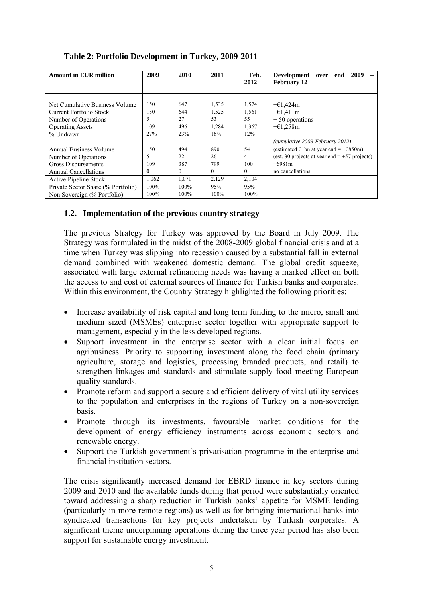| <b>Amount in EUR million</b>       | 2009  | 2010         | 2011           | Feb.<br>2012 | 2009<br><b>Development</b><br>end<br>over<br><b>February 12</b> |  |  |  |  |
|------------------------------------|-------|--------------|----------------|--------------|-----------------------------------------------------------------|--|--|--|--|
|                                    |       |              |                |              |                                                                 |  |  |  |  |
| Net Cumulative Business Volume     | 150   | 647          | 1,535          | 1,574        | $+\epsilon$ 1,424m                                              |  |  |  |  |
| Current Portfolio Stock            | 150   | 644          | 1,525          | 1,561        | $+\epsilon$ 1,411m                                              |  |  |  |  |
| Number of Operations               | 5     | 27           | 53             | 55           | $+50$ operations                                                |  |  |  |  |
| <b>Operating Assets</b>            | 109   | 496          | 1,284          | 1,367        | $+\epsilon$ 1,258m                                              |  |  |  |  |
| % Undrawn                          | 27%   | 23%          | 16%            | 12%          |                                                                 |  |  |  |  |
|                                    |       |              |                |              | (cumulative 2009-February 2012)                                 |  |  |  |  |
| Annual Business Volume             | 150   | 494          | 890            | 54           | (estimated $\in$ 1bn at year end = + $\in$ 850m)                |  |  |  |  |
| Number of Operations               |       | 22           | 26             | 4            | (est. 30 projects at year end $= +57$ projects)                 |  |  |  |  |
| <b>Gross Disbursements</b>         | 109   | 387          | 799            | 100          | $+6981m$                                                        |  |  |  |  |
| <b>Annual Cancellations</b>        | 0     | $\mathbf{0}$ | $\overline{0}$ | $\Omega$     | no cancellations                                                |  |  |  |  |
| Active Pipeline Stock              | 1,062 | 1,071        | 2,129          | 2,104        |                                                                 |  |  |  |  |
| Private Sector Share (% Portfolio) | 100%  | 100%         | 95%            | 95%          |                                                                 |  |  |  |  |
| Non Sovereign (% Portfolio)        | 100%  | 100%         | 100%           | 100%         |                                                                 |  |  |  |  |

# **Table 2: Portfolio Development in Turkey, 2009-2011**

# <span id="page-6-0"></span>**1.2. Implementation of the previous country strategy**

The previous Strategy for Turkey was approved by the Board in July 2009. The Strategy was formulated in the midst of the 2008-2009 global financial crisis and at a time when Turkey was slipping into recession caused by a substantial fall in external demand combined with weakened domestic demand. The global credit squeeze, associated with large external refinancing needs was having a marked effect on both the access to and cost of external sources of finance for Turkish banks and corporates. Within this environment, the Country Strategy highlighted the following priorities:

- Increase availability of risk capital and long term funding to the micro, small and medium sized (MSMEs) enterprise sector together with appropriate support to management, especially in the less developed regions.
- Support investment in the enterprise sector with a clear initial focus on agribusiness. Priority to supporting investment along the food chain (primary agriculture, storage and logistics, processing branded products, and retail) to strengthen linkages and standards and stimulate supply food meeting European quality standards.
- Promote reform and support a secure and efficient delivery of vital utility services to the population and enterprises in the regions of Turkey on a non-sovereign basis.
- Promote through its investments, favourable market conditions for the development of energy efficiency instruments across economic sectors and renewable energy.
- Support the Turkish government's privatisation programme in the enterprise and financial institution sectors.

The crisis significantly increased demand for EBRD finance in key sectors during 2009 and 2010 and the available funds during that period were substantially oriented toward addressing a sharp reduction in Turkish banks' appetite for MSME lending (particularly in more remote regions) as well as for bringing international banks into syndicated transactions for key projects undertaken by Turkish corporates. A significant theme underpinning operations during the three year period has also been support for sustainable energy investment.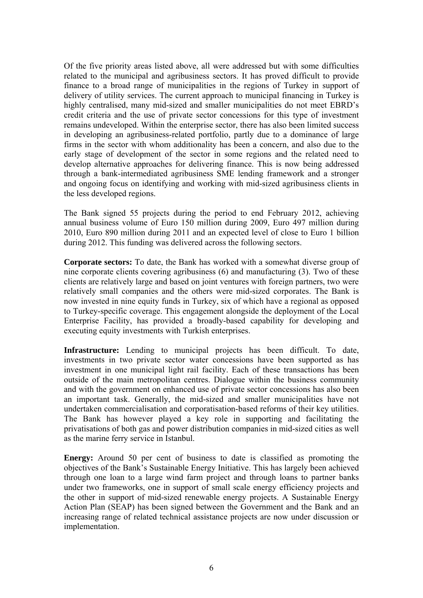Of the five priority areas listed above, all were addressed but with some difficulties related to the municipal and agribusiness sectors. It has proved difficult to provide finance to a broad range of municipalities in the regions of Turkey in support of delivery of utility services. The current approach to municipal financing in Turkey is highly centralised, many mid-sized and smaller municipalities do not meet EBRD's credit criteria and the use of private sector concessions for this type of investment remains undeveloped. Within the enterprise sector, there has also been limited success in developing an agribusiness-related portfolio, partly due to a dominance of large firms in the sector with whom additionality has been a concern, and also due to the early stage of development of the sector in some regions and the related need to develop alternative approaches for delivering finance. This is now being addressed through a bank-intermediated agribusiness SME lending framework and a stronger and ongoing focus on identifying and working with mid-sized agribusiness clients in the less developed regions.

The Bank signed 55 projects during the period to end February 2012, achieving annual business volume of Euro 150 million during 2009, Euro 497 million during 2010, Euro 890 million during 2011 and an expected level of close to Euro 1 billion during 2012. This funding was delivered across the following sectors.

**Corporate sectors:** To date, the Bank has worked with a somewhat diverse group of nine corporate clients covering agribusiness (6) and manufacturing (3). Two of these clients are relatively large and based on joint ventures with foreign partners, two were relatively small companies and the others were mid-sized corporates. The Bank is now invested in nine equity funds in Turkey, six of which have a regional as opposed to Turkey-specific coverage. This engagement alongside the deployment of the Local Enterprise Facility, has provided a broadly-based capability for developing and executing equity investments with Turkish enterprises.

**Infrastructure:** Lending to municipal projects has been difficult. To date, investments in two private sector water concessions have been supported as has investment in one municipal light rail facility. Each of these transactions has been outside of the main metropolitan centres. Dialogue within the business community and with the government on enhanced use of private sector concessions has also been an important task. Generally, the mid-sized and smaller municipalities have not undertaken commercialisation and corporatisation-based reforms of their key utilities. The Bank has however played a key role in supporting and facilitating the privatisations of both gas and power distribution companies in mid-sized cities as well as the marine ferry service in Istanbul.

**Energy:** Around 50 per cent of business to date is classified as promoting the objectives of the Bank's Sustainable Energy Initiative. This has largely been achieved through one loan to a large wind farm project and through loans to partner banks under two frameworks, one in support of small scale energy efficiency projects and the other in support of mid-sized renewable energy projects. A Sustainable Energy Action Plan (SEAP) has been signed between the Government and the Bank and an increasing range of related technical assistance projects are now under discussion or implementation.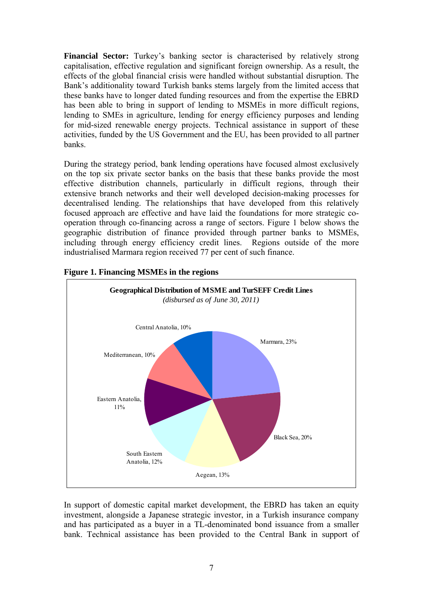**Financial Sector:** Turkey's banking sector is characterised by relatively strong capitalisation, effective regulation and significant foreign ownership. As a result, the effects of the global financial crisis were handled without substantial disruption. The Bank's additionality toward Turkish banks stems largely from the limited access that these banks have to longer dated funding resources and from the expertise the EBRD has been able to bring in support of lending to MSMEs in more difficult regions, lending to SMEs in agriculture, lending for energy efficiency purposes and lending for mid-sized renewable energy projects. Technical assistance in support of these activities, funded by the US Government and the EU, has been provided to all partner banks.

During the strategy period, bank lending operations have focused almost exclusively on the top six private sector banks on the basis that these banks provide the most effective distribution channels, particularly in difficult regions, through their extensive branch networks and their well developed decision-making processes for decentralised lending. The relationships that have developed from this relatively focused approach are effective and have laid the foundations for more strategic cooperation through co-financing across a range of sectors. Figure 1 below shows the geographic distribution of finance provided through partner banks to MSMEs, including through energy efficiency credit lines. Regions outside of the more industrialised Marmara region received 77 per cent of such finance.



# **Figure 1. Financing MSMEs in the regions**

In support of domestic capital market development, the EBRD has taken an equity investment, alongside a Japanese strategic investor, in a Turkish insurance company and has participated as a buyer in a TL-denominated bond issuance from a smaller bank. Technical assistance has been provided to the Central Bank in support of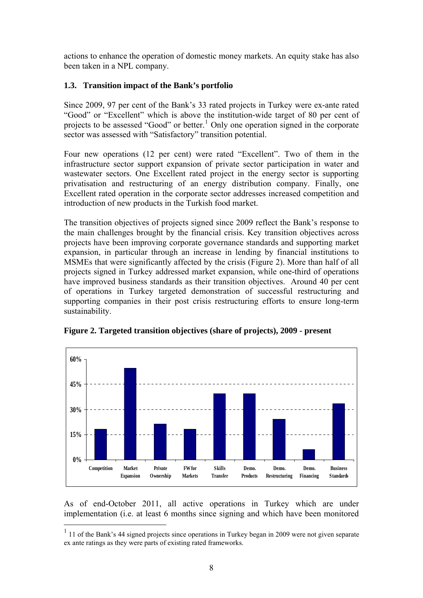actions to enhance the operation of domestic money markets. An equity stake has also been taken in a NPL company.

# <span id="page-9-0"></span>**1.3. Transition impact of the Bank's portfolio**

Since 2009, 97 per cent of the Bank's 33 rated projects in Turkey were ex-ante rated "Good" or "Excellent" which is above the institution-wide target of 80 per cent of projects to be assessed "Good" or better.<sup>[1](#page-9-1)</sup> Only one operation signed in the corporate sector was assessed with "Satisfactory" transition potential.

Four new operations (12 per cent) were rated "Excellent". Two of them in the infrastructure sector support expansion of private sector participation in water and wastewater sectors. One Excellent rated project in the energy sector is supporting privatisation and restructuring of an energy distribution company. Finally, one Excellent rated operation in the corporate sector addresses increased competition and introduction of new products in the Turkish food market.

The transition objectives of projects signed since 2009 reflect the Bank's response to the main challenges brought by the financial crisis. Key transition objectives across projects have been improving corporate governance standards and supporting market expansion, in particular through an increase in lending by financial institutions to MSMEs that were significantly affected by the crisis (Figure 2). More than half of all projects signed in Turkey addressed market expansion, while one-third of operations have improved business standards as their transition objectives. Around 40 per cent of operations in Turkey targeted demonstration of successful restructuring and supporting companies in their post crisis restructuring efforts to ensure long-term sustainability.



**Figure 2. Targeted transition objectives (share of projects), 2009 - present** 

As of end-October 2011, all active operations in Turkey which are under implementation (i.e. at least 6 months since signing and which have been monitored

<u>.</u>

<span id="page-9-1"></span><sup>&</sup>lt;sup>1</sup> 11 of the Bank's 44 signed projects since operations in Turkey began in 2009 were not given separate ex ante ratings as they were parts of existing rated frameworks.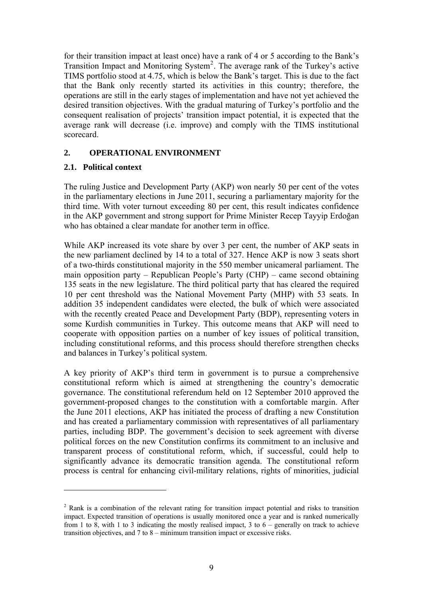for their transition impact at least once) have a rank of 4 or 5 according to the Bank's Transition Impact and Monitoring System<sup>[2](#page-10-2)</sup>. The average rank of the Turkey's active TIMS portfolio stood at 4.75, which is below the Bank's target. This is due to the fact that the Bank only recently started its activities in this country; therefore, the operations are still in the early stages of implementation and have not yet achieved the desired transition objectives. With the gradual maturing of Turkey's portfolio and the consequent realisation of projects' transition impact potential, it is expected that the average rank will decrease (i.e. improve) and comply with the TIMS institutional scorecard.

### <span id="page-10-0"></span>**2. OPERATIONAL ENVIRONMENT**

### <span id="page-10-1"></span>**2.1. Political context**

<u>.</u>

The ruling Justice and Development Party (AKP) won nearly 50 per cent of the votes in the parliamentary elections in June 2011, securing a parliamentary majority for the third time. With voter turnout exceeding 80 per cent, this result indicates confidence in the AKP government and strong support for Prime Minister Recep Tayyip Erdoğan who has obtained a clear mandate for another term in office.

While AKP increased its vote share by over 3 per cent, the number of AKP seats in the new parliament declined by 14 to a total of 327. Hence AKP is now 3 seats short of a two-thirds constitutional majority in the 550 member unicameral parliament. The main opposition party – Republican People's Party (CHP) – came second obtaining 135 seats in the new legislature. The third political party that has cleared the required 10 per cent threshold was the National Movement Party (MHP) with 53 seats. In addition 35 independent candidates were elected, the bulk of which were associated with the recently created Peace and Development Party (BDP), representing voters in some Kurdish communities in Turkey. This outcome means that AKP will need to cooperate with opposition parties on a number of key issues of political transition, including constitutional reforms, and this process should therefore strengthen checks and balances in Turkey's political system.

A key priority of AKP's third term in government is to pursue a comprehensive constitutional reform which is aimed at strengthening the country's democratic governance. The constitutional referendum held on 12 September 2010 approved the government-proposed changes to the constitution with a comfortable margin. After the June 2011 elections, AKP has initiated the process of drafting a new Constitution and has created a parliamentary commission with representatives of all parliamentary parties, including BDP. The government's decision to seek agreement with diverse political forces on the new Constitution confirms its commitment to an inclusive and transparent process of constitutional reform, which, if successful, could help to significantly advance its democratic transition agenda. The constitutional reform process is central for enhancing civil-military relations, rights of minorities, judicial

<span id="page-10-2"></span><sup>&</sup>lt;sup>2</sup> Rank is a combination of the relevant rating for transition impact potential and risks to transition impact. Expected transition of operations is usually monitored once a year and is ranked numerically from 1 to 8, with 1 to 3 indicating the mostly realised impact, 3 to  $6$  – generally on track to achieve transition objectives, and 7 to 8 – minimum transition impact or excessive risks.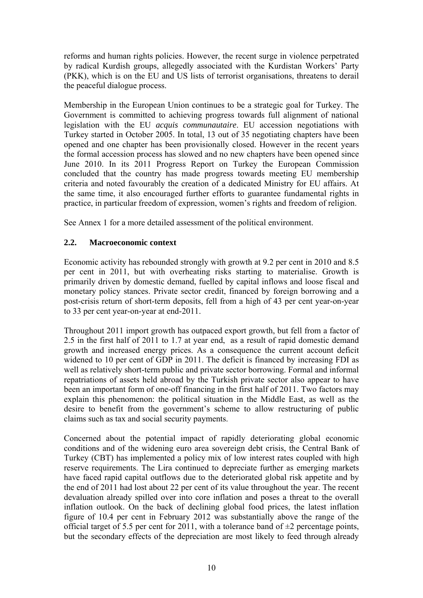reforms and human rights policies. However, the recent surge in violence perpetrated by radical Kurdish groups, allegedly associated with the Kurdistan Workers' Party (PKK), which is on the EU and US lists of terrorist organisations, threatens to derail the peaceful dialogue process.

Membership in the European Union continues to be a strategic goal for Turkey. The Government is committed to achieving progress towards full alignment of national legislation with the EU *acquis communautaire*. EU accession negotiations with Turkey started in October 2005. In total, 13 out of 35 negotiating chapters have been opened and one chapter has been provisionally closed. However in the recent years the formal accession process has slowed and no new chapters have been opened since June 2010. In its 2011 Progress Report on Turkey the European Commission concluded that the country has made progress towards meeting EU membership criteria and noted favourably the creation of a dedicated Ministry for EU affairs. At the same time, it also encouraged further efforts to guarantee fundamental rights in practice, in particular freedom of expression, women's rights and freedom of religion.

See Annex 1 for a more detailed assessment of the political environment.

# <span id="page-11-0"></span>**2.2. Macroeconomic context**

Economic activity has rebounded strongly with growth at 9.2 per cent in 2010 and 8.5 per cent in 2011, but with overheating risks starting to materialise. Growth is primarily driven by domestic demand, fuelled by capital inflows and loose fiscal and monetary policy stances. Private sector credit, financed by foreign borrowing and a post-crisis return of short-term deposits, fell from a high of 43 per cent year-on-year to 33 per cent year-on-year at end-2011.

Throughout 2011 import growth has outpaced export growth, but fell from a factor of 2.5 in the first half of 2011 to 1.7 at year end, as a result of rapid domestic demand growth and increased energy prices. As a consequence the current account deficit widened to 10 per cent of GDP in 2011. The deficit is financed by increasing FDI as well as relatively short-term public and private sector borrowing. Formal and informal repatriations of assets held abroad by the Turkish private sector also appear to have been an important form of one-off financing in the first half of 2011. Two factors may explain this phenomenon: the political situation in the Middle East, as well as the desire to benefit from the government's scheme to allow restructuring of public claims such as tax and social security payments.

Concerned about the potential impact of rapidly deteriorating global economic conditions and of the widening euro area sovereign debt crisis, the Central Bank of Turkey (CBT) has implemented a policy mix of low interest rates coupled with high reserve requirements. The Lira continued to depreciate further as emerging markets have faced rapid capital outflows due to the deteriorated global risk appetite and by the end of 2011 had lost about 22 per cent of its value throughout the year. The recent devaluation already spilled over into core inflation and poses a threat to the overall inflation outlook. On the back of declining global food prices, the latest inflation figure of 10.4 per cent in February 2012 was substantially above the range of the official target of 5.5 per cent for 2011, with a tolerance band of  $\pm 2$  percentage points, but the secondary effects of the depreciation are most likely to feed through already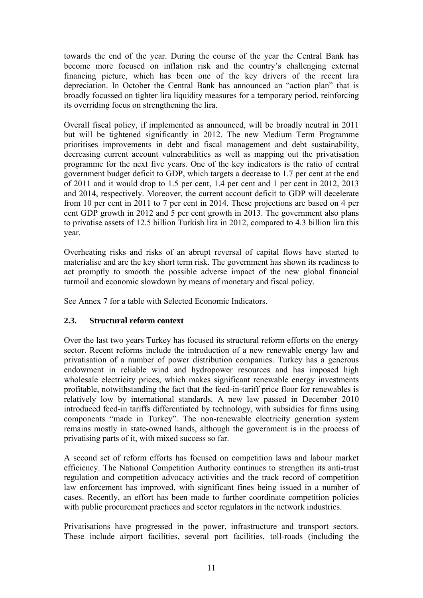towards the end of the year. During the course of the year the Central Bank has become more focused on inflation risk and the country's challenging external financing picture, which has been one of the key drivers of the recent lira depreciation. In October the Central Bank has announced an "action plan" that is broadly focussed on tighter lira liquidity measures for a temporary period, reinforcing its overriding focus on strengthening the lira.

Overall fiscal policy, if implemented as announced, will be broadly neutral in 2011 but will be tightened significantly in 2012. The new Medium Term Programme prioritises improvements in debt and fiscal management and debt sustainability, decreasing current account vulnerabilities as well as mapping out the privatisation programme for the next five years. One of the key indicators is the ratio of central government budget deficit to GDP, which targets a decrease to 1.7 per cent at the end of 2011 and it would drop to 1.5 per cent, 1.4 per cent and 1 per cent in 2012, 2013 and 2014, respectively. Moreover, the current account deficit to GDP will decelerate from 10 per cent in 2011 to 7 per cent in 2014. These projections are based on 4 per cent GDP growth in 2012 and 5 per cent growth in 2013. The government also plans to privatise assets of 12.5 billion Turkish lira in 2012, compared to 4.3 billion lira this year.

Overheating risks and risks of an abrupt reversal of capital flows have started to materialise and are the key short term risk. The government has shown its readiness to act promptly to smooth the possible adverse impact of the new global financial turmoil and economic slowdown by means of monetary and fiscal policy.

See Annex 7 for a table with Selected Economic Indicators.

# <span id="page-12-0"></span>**2.3. Structural reform context**

Over the last two years Turkey has focused its structural reform efforts on the energy sector. Recent reforms include the introduction of a new renewable energy law and privatisation of a number of power distribution companies. Turkey has a generous endowment in reliable wind and hydropower resources and has imposed high wholesale electricity prices, which makes significant renewable energy investments profitable, notwithstanding the fact that the feed-in-tariff price floor for renewables is relatively low by international standards. A new law passed in December 2010 introduced feed-in tariffs differentiated by technology, with subsidies for firms using components "made in Turkey". The non-renewable electricity generation system remains mostly in state-owned hands, although the government is in the process of privatising parts of it, with mixed success so far.

A second set of reform efforts has focused on competition laws and labour market efficiency. The National Competition Authority continues to strengthen its anti-trust regulation and competition advocacy activities and the track record of competition law enforcement has improved, with significant fines being issued in a number of cases. Recently, an effort has been made to further coordinate competition policies with public procurement practices and sector regulators in the network industries.

Privatisations have progressed in the power, infrastructure and transport sectors. These include airport facilities, several port facilities, toll-roads (including the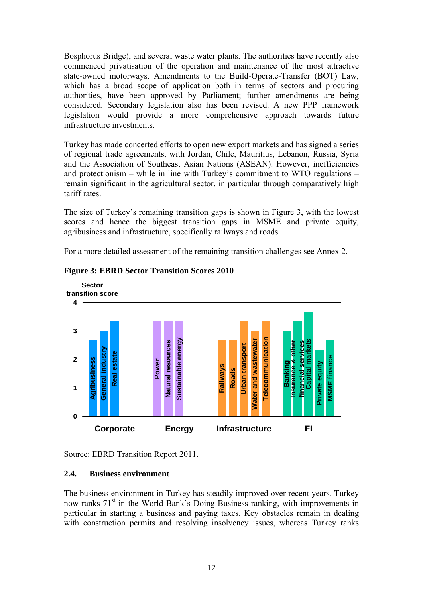Bosphorus Bridge), and several waste water plants. The authorities have recently also commenced privatisation of the operation and maintenance of the most attractive state-owned motorways. Amendments to the Build-Operate-Transfer (BOT) Law, which has a broad scope of application both in terms of sectors and procuring authorities, have been approved by Parliament; further amendments are being considered. Secondary legislation also has been revised. A new PPP framework legislation would provide a more comprehensive approach towards future infrastructure investments.

Turkey has made concerted efforts to open new export markets and has signed a series of regional trade agreements, with Jordan, Chile, Mauritius, Lebanon, Russia, Syria and the Association of Southeast Asian Nations (ASEAN). However, inefficiencies and protectionism – while in line with Turkey's commitment to WTO regulations – remain significant in the agricultural sector, in particular through comparatively high tariff rates.

The size of Turkey's remaining transition gaps is shown in Figure 3, with the lowest scores and hence the biggest transition gaps in MSME and private equity, agribusiness and infrastructure, specifically railways and roads.

For a more detailed assessment of the remaining transition challenges see Annex 2.



### **Figure 3: EBRD Sector Transition Scores 2010**

Source: EBRD Transition Report 2011.

### <span id="page-13-0"></span>**2.4. Business environment**

The business environment in Turkey has steadily improved over recent years. Turkey now ranks  $71<sup>st</sup>$  in the World Bank's Doing Business ranking, with improvements in particular in starting a business and paying taxes. Key obstacles remain in dealing with construction permits and resolving insolvency issues, whereas Turkey ranks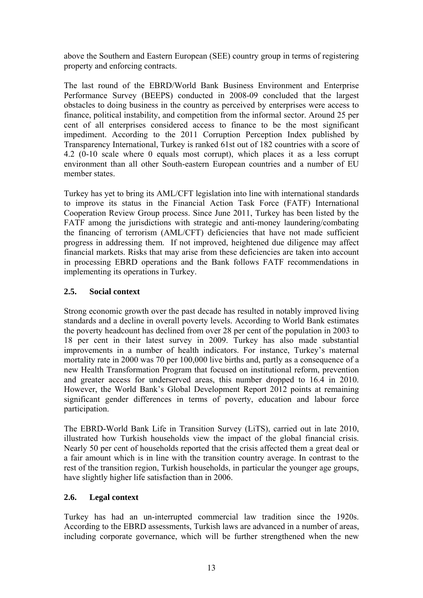above the Southern and Eastern European (SEE) country group in terms of registering property and enforcing contracts.

The last round of the EBRD/World Bank Business Environment and Enterprise Performance Survey (BEEPS) conducted in 2008-09 concluded that the largest obstacles to doing business in the country as perceived by enterprises were access to finance, political instability, and competition from the informal sector. Around 25 per cent of all enterprises considered access to finance to be the most significant impediment. According to the 2011 Corruption Perception Index published by Transparency International, Turkey is ranked 61st out of 182 countries with a score of 4.2 (0-10 scale where 0 equals most corrupt), which places it as a less corrupt environment than all other South-eastern European countries and a number of EU member states.

Turkey has yet to bring its AML/CFT legislation into line with international standards to improve its status in the Financial Action Task Force (FATF) International Cooperation Review Group process. Since June 2011, Turkey has been listed by the FATF among the jurisdictions with strategic and anti-money laundering/combating the financing of terrorism (AML/CFT) deficiencies that have not made sufficient progress in addressing them. If not improved, heightened due diligence may affect financial markets. Risks that may arise from these deficiencies are taken into account in processing EBRD operations and the Bank follows FATF recommendations in implementing its operations in Turkey.

# <span id="page-14-0"></span>**2.5. Social context**

Strong economic growth over the past decade has resulted in notably improved living standards and a decline in overall poverty levels. According to World Bank estimates the poverty headcount has declined from over 28 per cent of the population in 2003 to 18 per cent in their latest survey in 2009. Turkey has also made substantial improvements in a number of health indicators. For instance, Turkey's maternal mortality rate in 2000 was 70 per 100,000 live births and, partly as a consequence of a new Health Transformation Program that focused on institutional reform, prevention and greater access for underserved areas, this number dropped to 16.4 in 2010. However, the World Bank's Global Development Report 2012 points at remaining significant gender differences in terms of poverty, education and labour force participation.

The EBRD-World Bank Life in Transition Survey (LiTS), carried out in late 2010, illustrated how Turkish households view the impact of the global financial crisis. Nearly 50 per cent of households reported that the crisis affected them a great deal or a fair amount which is in line with the transition country average. In contrast to the rest of the transition region, Turkish households, in particular the younger age groups, have slightly higher life satisfaction than in 2006.

# <span id="page-14-1"></span>**2.6. Legal context**

Turkey has had an un-interrupted commercial law tradition since the 1920s. According to the EBRD assessments, Turkish laws are advanced in a number of areas, including corporate governance, which will be further strengthened when the new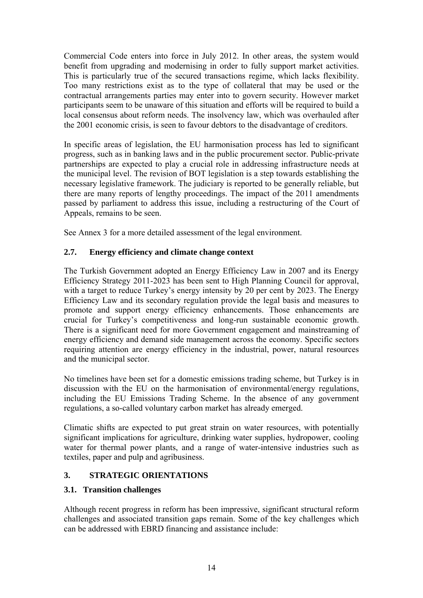Commercial Code enters into force in July 2012. In other areas, the system would benefit from upgrading and modernising in order to fully support market activities. This is particularly true of the secured transactions regime, which lacks flexibility. Too many restrictions exist as to the type of collateral that may be used or the contractual arrangements parties may enter into to govern security. However market participants seem to be unaware of this situation and efforts will be required to build a local consensus about reform needs. The insolvency law, which was overhauled after the 2001 economic crisis, is seen to favour debtors to the disadvantage of creditors.

In specific areas of legislation, the EU harmonisation process has led to significant progress, such as in banking laws and in the public procurement sector. Public-private partnerships are expected to play a crucial role in addressing infrastructure needs at the municipal level. The revision of BOT legislation is a step towards establishing the necessary legislative framework. The judiciary is reported to be generally reliable, but there are many reports of lengthy proceedings. The impact of the 2011 amendments passed by parliament to address this issue, including a restructuring of the Court of Appeals, remains to be seen.

See Annex 3 for a more detailed assessment of the legal environment.

# <span id="page-15-0"></span>**2.7. Energy efficiency and climate change context**

The Turkish Government adopted an Energy Efficiency Law in 2007 and its Energy Efficiency Strategy 2011-2023 has been sent to High Planning Council for approval, with a target to reduce Turkey's energy intensity by 20 per cent by 2023. The Energy Efficiency Law and its secondary regulation provide the legal basis and measures to promote and support energy efficiency enhancements. Those enhancements are crucial for Turkey's competitiveness and long-run sustainable economic growth. There is a significant need for more Government engagement and mainstreaming of energy efficiency and demand side management across the economy. Specific sectors requiring attention are energy efficiency in the industrial, power, natural resources and the municipal sector.

No timelines have been set for a domestic emissions trading scheme, but Turkey is in discussion with the EU on the harmonisation of environmental/energy regulations, including the EU Emissions Trading Scheme. In the absence of any government regulations, a so-called voluntary carbon market has already emerged.

Climatic shifts are expected to put great strain on water resources, with potentially significant implications for agriculture, drinking water supplies, hydropower, cooling water for thermal power plants, and a range of water-intensive industries such as textiles, paper and pulp and agribusiness.

# <span id="page-15-1"></span>**3. STRATEGIC ORIENTATIONS**

# <span id="page-15-2"></span>**3.1. Transition challenges**

Although recent progress in reform has been impressive, significant structural reform challenges and associated transition gaps remain. Some of the key challenges which can be addressed with EBRD financing and assistance include: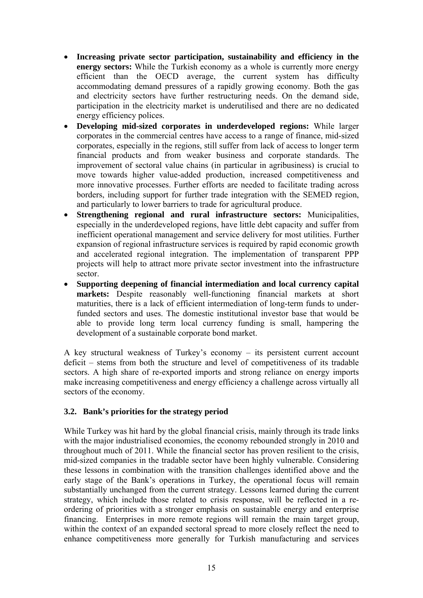- **Increasing private sector participation, sustainability and efficiency in the energy sectors:** While the Turkish economy as a whole is currently more energy efficient than the OECD average, the current system has difficulty accommodating demand pressures of a rapidly growing economy. Both the gas and electricity sectors have further restructuring needs. On the demand side, participation in the electricity market is underutilised and there are no dedicated energy efficiency polices.
- **Developing mid-sized corporates in underdeveloped regions:** While larger corporates in the commercial centres have access to a range of finance, mid-sized corporates, especially in the regions, still suffer from lack of access to longer term financial products and from weaker business and corporate standards. The improvement of sectoral value chains (in particular in agribusiness) is crucial to move towards higher value-added production, increased competitiveness and more innovative processes. Further efforts are needed to facilitate trading across borders, including support for further trade integration with the SEMED region, and particularly to lower barriers to trade for agricultural produce.
- **Strengthening regional and rural infrastructure sectors:** Municipalities, especially in the underdeveloped regions, have little debt capacity and suffer from inefficient operational management and service delivery for most utilities. Further expansion of regional infrastructure services is required by rapid economic growth and accelerated regional integration. The implementation of transparent PPP projects will help to attract more private sector investment into the infrastructure sector.
- **Supporting deepening of financial intermediation and local currency capital markets:** Despite reasonably well-functioning financial markets at short maturities, there is a lack of efficient intermediation of long-term funds to underfunded sectors and uses. The domestic institutional investor base that would be able to provide long term local currency funding is small, hampering the development of a sustainable corporate bond market.

A key structural weakness of Turkey's economy – its persistent current account deficit – stems from both the structure and level of competitiveness of its tradable sectors. A high share of re-exported imports and strong reliance on energy imports make increasing competitiveness and energy efficiency a challenge across virtually all sectors of the economy.

# <span id="page-16-0"></span>**3.2. Bank's priorities for the strategy period**

While Turkey was hit hard by the global financial crisis, mainly through its trade links with the major industrialised economies, the economy rebounded strongly in 2010 and throughout much of 2011. While the financial sector has proven resilient to the crisis, mid-sized companies in the tradable sector have been highly vulnerable. Considering these lessons in combination with the transition challenges identified above and the early stage of the Bank's operations in Turkey, the operational focus will remain substantially unchanged from the current strategy. Lessons learned during the current strategy, which include those related to crisis response, will be reflected in a reordering of priorities with a stronger emphasis on sustainable energy and enterprise financing. Enterprises in more remote regions will remain the main target group, within the context of an expanded sectoral spread to more closely reflect the need to enhance competitiveness more generally for Turkish manufacturing and services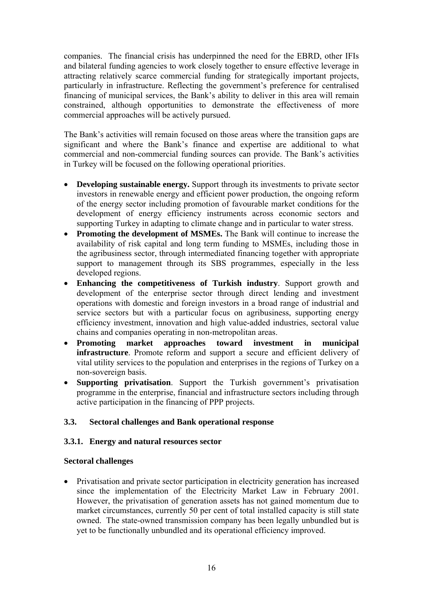companies. The financial crisis has underpinned the need for the EBRD, other IFIs and bilateral funding agencies to work closely together to ensure effective leverage in attracting relatively scarce commercial funding for strategically important projects, particularly in infrastructure. Reflecting the government's preference for centralised financing of municipal services, the Bank's ability to deliver in this area will remain constrained, although opportunities to demonstrate the effectiveness of more commercial approaches will be actively pursued.

The Bank's activities will remain focused on those areas where the transition gaps are significant and where the Bank's finance and expertise are additional to what commercial and non-commercial funding sources can provide. The Bank's activities in Turkey will be focused on the following operational priorities.

- **Developing sustainable energy.** Support through its investments to private sector investors in renewable energy and efficient power production, the ongoing reform of the energy sector including promotion of favourable market conditions for the development of energy efficiency instruments across economic sectors and supporting Turkey in adapting to climate change and in particular to water stress.
- **Promoting the development of MSMEs.** The Bank will continue to increase the availability of risk capital and long term funding to MSMEs, including those in the agribusiness sector, through intermediated financing together with appropriate support to management through its SBS programmes, especially in the less developed regions.
- **Enhancing the competitiveness of Turkish industry**. Support growth and development of the enterprise sector through direct lending and investment operations with domestic and foreign investors in a broad range of industrial and service sectors but with a particular focus on agribusiness, supporting energy efficiency investment, innovation and high value-added industries, sectoral value chains and companies operating in non-metropolitan areas.
- **Promoting market approaches toward investment in municipal infrastructure**. Promote reform and support a secure and efficient delivery of vital utility services to the population and enterprises in the regions of Turkey on a non-sovereign basis.
- **Supporting privatisation**. Support the Turkish government's privatisation programme in the enterprise, financial and infrastructure sectors including through active participation in the financing of PPP projects.

# <span id="page-17-0"></span>**3.3. Sectoral challenges and Bank operational response**

# **3.3.1. Energy and natural resources sector**

# **Sectoral challenges**

 Privatisation and private sector participation in electricity generation has increased since the implementation of the Electricity Market Law in February 2001. However, the privatisation of generation assets has not gained momentum due to market circumstances, currently 50 per cent of total installed capacity is still state owned. The state-owned transmission company has been legally unbundled but is yet to be functionally unbundled and its operational efficiency improved.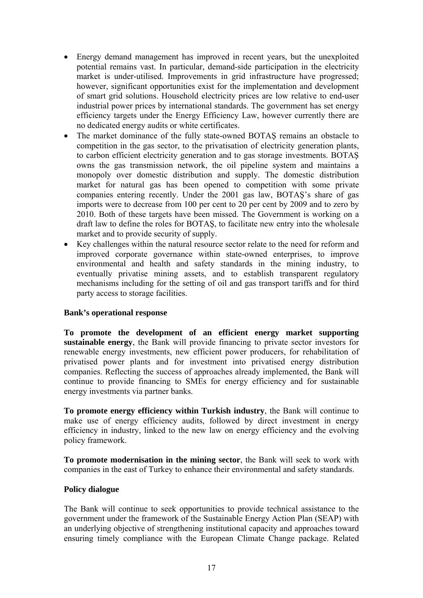- Energy demand management has improved in recent years, but the unexploited potential remains vast. In particular, demand-side participation in the electricity market is under-utilised. Improvements in grid infrastructure have progressed; however, significant opportunities exist for the implementation and development of smart grid solutions. Household electricity prices are low relative to end-user industrial power prices by international standards. The government has set energy efficiency targets under the Energy Efficiency Law, however currently there are no dedicated energy audits or white certificates.
- The market dominance of the fully state-owned BOTAS remains an obstacle to competition in the gas sector, to the privatisation of electricity generation plants, to carbon efficient electricity generation and to gas storage investments. BOTAŞ owns the gas transmission network, the oil pipeline system and maintains a monopoly over domestic distribution and supply. The domestic distribution market for natural gas has been opened to competition with some private companies entering recently. Under the 2001 gas law, BOTAŞ's share of gas imports were to decrease from 100 per cent to 20 per cent by 2009 and to zero by 2010. Both of these targets have been missed. The Government is working on a draft law to define the roles for BOTAŞ, to facilitate new entry into the wholesale market and to provide security of supply.
- Key challenges within the natural resource sector relate to the need for reform and improved corporate governance within state-owned enterprises, to improve environmental and health and safety standards in the mining industry, to eventually privatise mining assets, and to establish transparent regulatory mechanisms including for the setting of oil and gas transport tariffs and for third party access to storage facilities.

### **Bank's operational response**

**To promote the development of an efficient energy market supporting sustainable energy**, the Bank will provide financing to private sector investors for renewable energy investments, new efficient power producers, for rehabilitation of privatised power plants and for investment into privatised energy distribution companies. Reflecting the success of approaches already implemented, the Bank will continue to provide financing to SMEs for energy efficiency and for sustainable energy investments via partner banks.

**To promote energy efficiency within Turkish industry**, the Bank will continue to make use of energy efficiency audits, followed by direct investment in energy efficiency in industry, linked to the new law on energy efficiency and the evolving policy framework.

**To promote modernisation in the mining sector**, the Bank will seek to work with companies in the east of Turkey to enhance their environmental and safety standards.

### **Policy dialogue**

The Bank will continue to seek opportunities to provide technical assistance to the government under the framework of the Sustainable Energy Action Plan (SEAP) with an underlying objective of strengthening institutional capacity and approaches toward ensuring timely compliance with the European Climate Change package. Related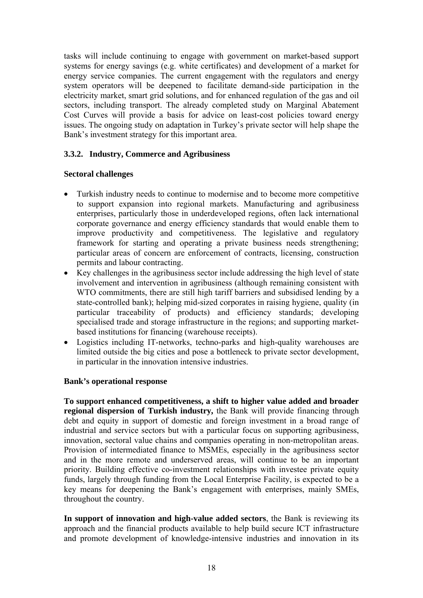tasks will include continuing to engage with government on market-based support systems for energy savings (e.g. white certificates) and development of a market for energy service companies. The current engagement with the regulators and energy system operators will be deepened to facilitate demand-side participation in the electricity market, smart grid solutions, and for enhanced regulation of the gas and oil sectors, including transport. The already completed study on Marginal Abatement Cost Curves will provide a basis for advice on least-cost policies toward energy issues. The ongoing study on adaptation in Turkey's private sector will help shape the Bank's investment strategy for this important area.

# **3.3.2. Industry, Commerce and Agribusiness**

# **Sectoral challenges**

- Turkish industry needs to continue to modernise and to become more competitive to support expansion into regional markets. Manufacturing and agribusiness enterprises, particularly those in underdeveloped regions, often lack international corporate governance and energy efficiency standards that would enable them to improve productivity and competitiveness. The legislative and regulatory framework for starting and operating a private business needs strengthening; particular areas of concern are enforcement of contracts, licensing, construction permits and labour contracting.
- Key challenges in the agribusiness sector include addressing the high level of state involvement and intervention in agribusiness (although remaining consistent with WTO commitments, there are still high tariff barriers and subsidised lending by a state-controlled bank); helping mid-sized corporates in raising hygiene, quality (in particular traceability of products) and efficiency standards; developing specialised trade and storage infrastructure in the regions; and supporting marketbased institutions for financing (warehouse receipts).
- Logistics including IT-networks, techno-parks and high-quality warehouses are limited outside the big cities and pose a bottleneck to private sector development, in particular in the innovation intensive industries.

# **Bank's operational response**

**To support enhanced competitiveness, a shift to higher value added and broader regional dispersion of Turkish industry,** the Bank will provide financing through debt and equity in support of domestic and foreign investment in a broad range of industrial and service sectors but with a particular focus on supporting agribusiness, innovation, sectoral value chains and companies operating in non-metropolitan areas. Provision of intermediated finance to MSMEs, especially in the agribusiness sector and in the more remote and underserved areas, will continue to be an important priority. Building effective co-investment relationships with investee private equity funds, largely through funding from the Local Enterprise Facility, is expected to be a key means for deepening the Bank's engagement with enterprises, mainly SMEs, throughout the country.

**In support of innovation and high-value added sectors**, the Bank is reviewing its approach and the financial products available to help build secure ICT infrastructure and promote development of knowledge-intensive industries and innovation in its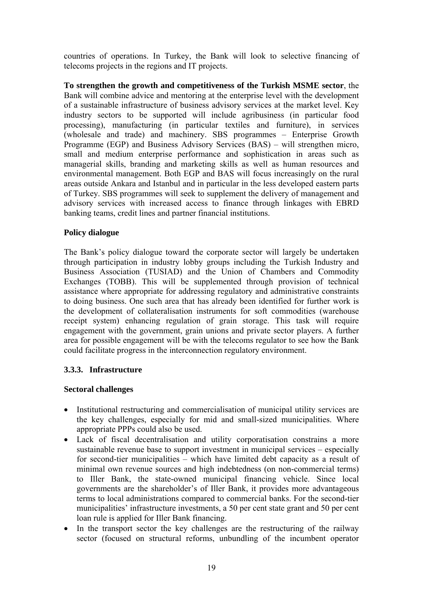countries of operations. In Turkey, the Bank will look to selective financing of telecoms projects in the regions and IT projects.

**To strengthen the growth and competitiveness of the Turkish MSME sector**, the Bank will combine advice and mentoring at the enterprise level with the development of a sustainable infrastructure of business advisory services at the market level. Key industry sectors to be supported will include agribusiness (in particular food processing), manufacturing (in particular textiles and furniture), in services (wholesale and trade) and machinery. SBS programmes – Enterprise Growth Programme (EGP) and Business Advisory Services (BAS) – will strengthen micro, small and medium enterprise performance and sophistication in areas such as managerial skills, branding and marketing skills as well as human resources and environmental management. Both EGP and BAS will focus increasingly on the rural areas outside Ankara and Istanbul and in particular in the less developed eastern parts of Turkey. SBS programmes will seek to supplement the delivery of management and advisory services with increased access to finance through linkages with EBRD banking teams, credit lines and partner financial institutions.

# **Policy dialogue**

The Bank's policy dialogue toward the corporate sector will largely be undertaken through participation in industry lobby groups including the Turkish Industry and Business Association (TUSIAD) and the Union of Chambers and Commodity Exchanges (TOBB). This will be supplemented through provision of technical assistance where appropriate for addressing regulatory and administrative constraints to doing business. One such area that has already been identified for further work is the development of collateralisation instruments for soft commodities (warehouse receipt system) enhancing regulation of grain storage. This task will require engagement with the government, grain unions and private sector players. A further area for possible engagement will be with the telecoms regulator to see how the Bank could facilitate progress in the interconnection regulatory environment.

# **3.3.3. Infrastructure**

### **Sectoral challenges**

- Institutional restructuring and commercialisation of municipal utility services are the key challenges, especially for mid and small-sized municipalities. Where appropriate PPPs could also be used.
- Lack of fiscal decentralisation and utility corporatisation constrains a more sustainable revenue base to support investment in municipal services – especially for second-tier municipalities – which have limited debt capacity as a result of minimal own revenue sources and high indebtedness (on non-commercial terms) to Iller Bank, the state-owned municipal financing vehicle. Since local governments are the shareholder's of Iller Bank, it provides more advantageous terms to local administrations compared to commercial banks. For the second-tier municipalities' infrastructure investments, a 50 per cent state grant and 50 per cent loan rule is applied for Iller Bank financing.
- In the transport sector the key challenges are the restructuring of the railway sector (focused on structural reforms, unbundling of the incumbent operator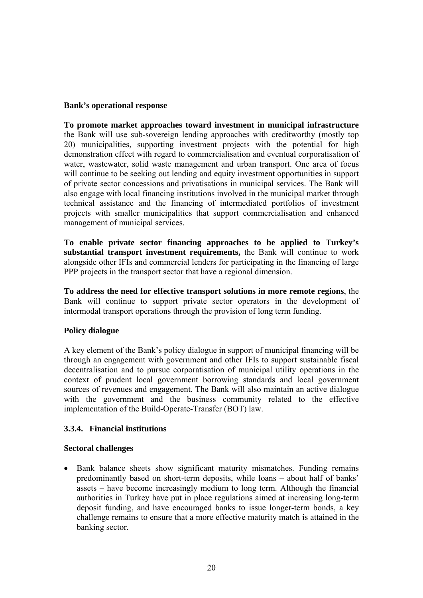### **Bank's operational response**

**To promote market approaches toward investment in municipal infrastructure** the Bank will use sub-sovereign lending approaches with creditworthy (mostly top 20) municipalities, supporting investment projects with the potential for high demonstration effect with regard to commercialisation and eventual corporatisation of water, wastewater, solid waste management and urban transport. One area of focus will continue to be seeking out lending and equity investment opportunities in support of private sector concessions and privatisations in municipal services. The Bank will also engage with local financing institutions involved in the municipal market through technical assistance and the financing of intermediated portfolios of investment projects with smaller municipalities that support commercialisation and enhanced management of municipal services.

**To enable private sector financing approaches to be applied to Turkey's substantial transport investment requirements,** the Bank will continue to work alongside other IFIs and commercial lenders for participating in the financing of large PPP projects in the transport sector that have a regional dimension.

**To address the need for effective transport solutions in more remote regions**, the Bank will continue to support private sector operators in the development of intermodal transport operations through the provision of long term funding.

# **Policy dialogue**

A key element of the Bank's policy dialogue in support of municipal financing will be through an engagement with government and other IFIs to support sustainable fiscal decentralisation and to pursue corporatisation of municipal utility operations in the context of prudent local government borrowing standards and local government sources of revenues and engagement. The Bank will also maintain an active dialogue with the government and the business community related to the effective implementation of the Build-Operate-Transfer (BOT) law.

# **3.3.4. Financial institutions**

### **Sectoral challenges**

• Bank balance sheets show significant maturity mismatches. Funding remains predominantly based on short-term deposits, while loans – about half of banks' assets – have become increasingly medium to long term. Although the financial authorities in Turkey have put in place regulations aimed at increasing long-term deposit funding, and have encouraged banks to issue longer-term bonds, a key challenge remains to ensure that a more effective maturity match is attained in the banking sector.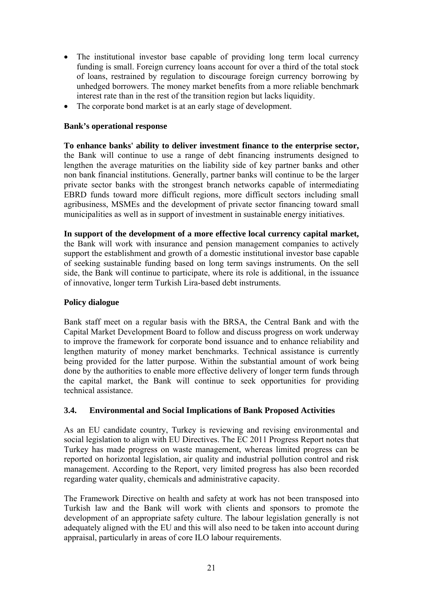- The institutional investor base capable of providing long term local currency funding is small. Foreign currency loans account for over a third of the total stock of loans, restrained by regulation to discourage foreign currency borrowing by unhedged borrowers. The money market benefits from a more reliable benchmark interest rate than in the rest of the transition region but lacks liquidity.
- The corporate bond market is at an early stage of development.

### **Bank's operational response**

**To enhance banks' ability to deliver investment finance to the enterprise sector,**  the Bank will continue to use a range of debt financing instruments designed to lengthen the average maturities on the liability side of key partner banks and other non bank financial institutions. Generally, partner banks will continue to be the larger private sector banks with the strongest branch networks capable of intermediating EBRD funds toward more difficult regions, more difficult sectors including small agribusiness, MSMEs and the development of private sector financing toward small municipalities as well as in support of investment in sustainable energy initiatives.

**In support of the development of a more effective local currency capital market,** the Bank will work with insurance and pension management companies to actively support the establishment and growth of a domestic institutional investor base capable of seeking sustainable funding based on long term savings instruments. On the sell side, the Bank will continue to participate, where its role is additional, in the issuance of innovative, longer term Turkish Lira-based debt instruments.

### **Policy dialogue**

Bank staff meet on a regular basis with the BRSA, the Central Bank and with the Capital Market Development Board to follow and discuss progress on work underway to improve the framework for corporate bond issuance and to enhance reliability and lengthen maturity of money market benchmarks. Technical assistance is currently being provided for the latter purpose. Within the substantial amount of work being done by the authorities to enable more effective delivery of longer term funds through the capital market, the Bank will continue to seek opportunities for providing technical assistance.

# <span id="page-22-0"></span>**3.4. Environmental and Social Implications of Bank Proposed Activities**

As an EU candidate country, Turkey is reviewing and revising environmental and social legislation to align with EU Directives. The EC 2011 Progress Report notes that Turkey has made progress on waste management, whereas limited progress can be reported on horizontal legislation, air quality and industrial pollution control and risk management. According to the Report, very limited progress has also been recorded regarding water quality, chemicals and administrative capacity.

The Framework Directive on health and safety at work has not been transposed into Turkish law and the Bank will work with clients and sponsors to promote the development of an appropriate safety culture. The labour legislation generally is not adequately aligned with the EU and this will also need to be taken into account during appraisal, particularly in areas of core ILO labour requirements.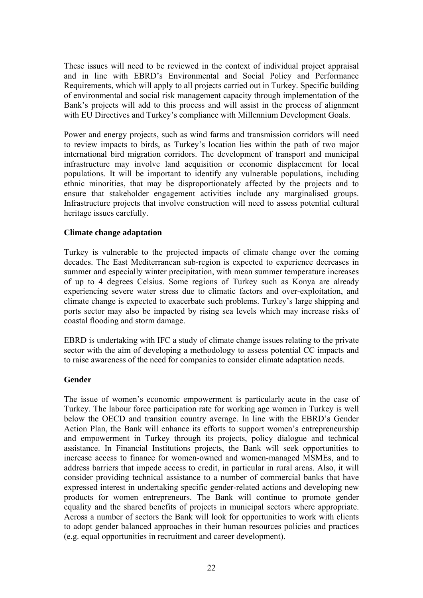These issues will need to be reviewed in the context of individual project appraisal and in line with EBRD's Environmental and Social Policy and Performance Requirements, which will apply to all projects carried out in Turkey. Specific building of environmental and social risk management capacity through implementation of the Bank's projects will add to this process and will assist in the process of alignment with EU Directives and Turkey's compliance with Millennium Development Goals.

Power and energy projects, such as wind farms and transmission corridors will need to review impacts to birds, as Turkey's location lies within the path of two major international bird migration corridors. The development of transport and municipal infrastructure may involve land acquisition or economic displacement for local populations. It will be important to identify any vulnerable populations, including ethnic minorities, that may be disproportionately affected by the projects and to ensure that stakeholder engagement activities include any marginalised groups. Infrastructure projects that involve construction will need to assess potential cultural heritage issues carefully.

### **Climate change adaptation**

Turkey is vulnerable to the projected impacts of climate change over the coming decades. The East Mediterranean sub-region is expected to experience decreases in summer and especially winter precipitation, with mean summer temperature increases of up to 4 degrees Celsius. Some regions of Turkey such as Konya are already experiencing severe water stress due to climatic factors and over-exploitation, and climate change is expected to exacerbate such problems. Turkey's large shipping and ports sector may also be impacted by rising sea levels which may increase risks of coastal flooding and storm damage.

EBRD is undertaking with IFC a study of climate change issues relating to the private sector with the aim of developing a methodology to assess potential CC impacts and to raise awareness of the need for companies to consider climate adaptation needs.

# **Gender**

The issue of women's economic empowerment is particularly acute in the case of Turkey. The labour force participation rate for working age women in Turkey is well below the OECD and transition country average. In line with the EBRD's Gender Action Plan, the Bank will enhance its efforts to support women's entrepreneurship and empowerment in Turkey through its projects, policy dialogue and technical assistance. In Financial Institutions projects, the Bank will seek opportunities to increase access to finance for women-owned and women-managed MSMEs, and to address barriers that impede access to credit, in particular in rural areas. Also, it will consider providing technical assistance to a number of commercial banks that have expressed interest in undertaking specific gender-related actions and developing new products for women entrepreneurs. The Bank will continue to promote gender equality and the shared benefits of projects in municipal sectors where appropriate. Across a number of sectors the Bank will look for opportunities to work with clients to adopt gender balanced approaches in their human resources policies and practices (e.g. equal opportunities in recruitment and career development).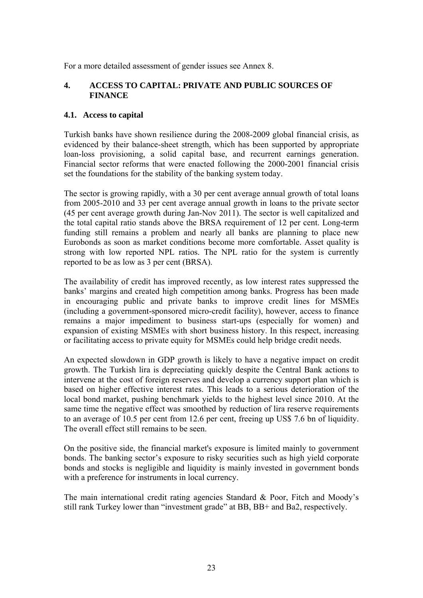For a more detailed assessment of gender issues see Annex 8.

# <span id="page-24-0"></span>**4. ACCESS TO CAPITAL: PRIVATE AND PUBLIC SOURCES OF FINANCE**

### <span id="page-24-1"></span>**4.1. Access to capital**

Turkish banks have shown resilience during the 2008-2009 global financial crisis, as evidenced by their balance-sheet strength, which has been supported by appropriate loan-loss provisioning, a solid capital base, and recurrent earnings generation. Financial sector reforms that were enacted following the 2000-2001 financial crisis set the foundations for the stability of the banking system today.

The sector is growing rapidly, with a 30 per cent average annual growth of total loans from 2005-2010 and 33 per cent average annual growth in loans to the private sector (45 per cent average growth during Jan-Nov 2011). The sector is well capitalized and the total capital ratio stands above the BRSA requirement of 12 per cent. Long-term funding still remains a problem and nearly all banks are planning to place new Eurobonds as soon as market conditions become more comfortable. Asset quality is strong with low reported NPL ratios. The NPL ratio for the system is currently reported to be as low as 3 per cent (BRSA).

The availability of credit has improved recently, as low interest rates suppressed the banks' margins and created high competition among banks. Progress has been made in encouraging public and private banks to improve credit lines for MSMEs (including a government-sponsored micro-credit facility), however, access to finance remains a major impediment to business start-ups (especially for women) and expansion of existing MSMEs with short business history. In this respect, increasing or facilitating access to private equity for MSMEs could help bridge credit needs.

An expected slowdown in GDP growth is likely to have a negative impact on credit growth. The Turkish lira is depreciating quickly despite the Central Bank actions to intervene at the cost of foreign reserves and develop a currency support plan which is based on higher effective interest rates. This leads to a serious deterioration of the local bond market, pushing benchmark yields to the highest level since 2010. At the same time the negative effect was smoothed by reduction of lira reserve requirements to an average of 10.5 per cent from 12.6 per cent, freeing up US\$ 7.6 bn of liquidity. The overall effect still remains to be seen.

On the positive side, the financial market's exposure is limited mainly to government bonds. The banking sector's exposure to risky securities such as high yield corporate bonds and stocks is negligible and liquidity is mainly invested in government bonds with a preference for instruments in local currency.

The main international credit rating agencies Standard & Poor, Fitch and Moody's still rank Turkey lower than "investment grade" at BB, BB+ and Ba2, respectively.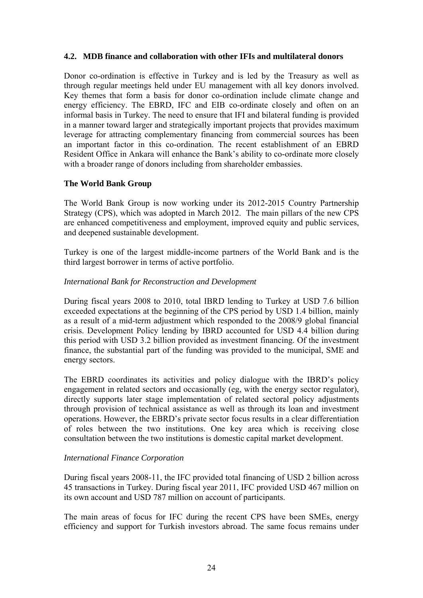### <span id="page-25-0"></span>**4.2. MDB finance and collaboration with other IFIs and multilateral donors**

Donor co-ordination is effective in Turkey and is led by the Treasury as well as through regular meetings held under EU management with all key donors involved. Key themes that form a basis for donor co-ordination include climate change and energy efficiency. The EBRD, IFC and EIB co-ordinate closely and often on an informal basis in Turkey. The need to ensure that IFI and bilateral funding is provided in a manner toward larger and strategically important projects that provides maximum leverage for attracting complementary financing from commercial sources has been an important factor in this co-ordination. The recent establishment of an EBRD Resident Office in Ankara will enhance the Bank's ability to co-ordinate more closely with a broader range of donors including from shareholder embassies.

### **The World Bank Group**

The World Bank Group is now working under its 2012-2015 Country Partnership Strategy (CPS), which was adopted in March 2012. The main pillars of the new CPS are enhanced competitiveness and employment, improved equity and public services, and deepened sustainable development.

Turkey is one of the largest middle-income partners of the World Bank and is the third largest borrower in terms of active portfolio.

### *International Bank for Reconstruction and Development*

During fiscal years 2008 to 2010, total IBRD lending to Turkey at USD 7.6 billion exceeded expectations at the beginning of the CPS period by USD 1.4 billion, mainly as a result of a mid-term adjustment which responded to the 2008/9 global financial crisis. Development Policy lending by IBRD accounted for USD 4.4 billion during this period with USD 3.2 billion provided as investment financing. Of the investment finance, the substantial part of the funding was provided to the municipal, SME and energy sectors.

The EBRD coordinates its activities and policy dialogue with the IBRD's policy engagement in related sectors and occasionally (eg, with the energy sector regulator), directly supports later stage implementation of related sectoral policy adjustments through provision of technical assistance as well as through its loan and investment operations. However, the EBRD's private sector focus results in a clear differentiation of roles between the two institutions. One key area which is receiving close consultation between the two institutions is domestic capital market development.

# *International Finance Corporation*

During fiscal years 2008-11, the IFC provided total financing of USD 2 billion across 45 transactions in Turkey. During fiscal year 2011, IFC provided USD 467 million on its own account and USD 787 million on account of participants.

The main areas of focus for IFC during the recent CPS have been SMEs, energy efficiency and support for Turkish investors abroad. The same focus remains under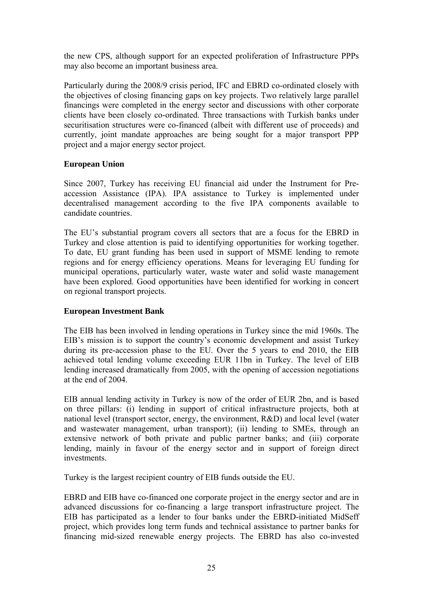the new CPS, although support for an expected proliferation of Infrastructure PPPs may also become an important business area.

Particularly during the 2008/9 crisis period, IFC and EBRD co-ordinated closely with the objectives of closing financing gaps on key projects. Two relatively large parallel financings were completed in the energy sector and discussions with other corporate clients have been closely co-ordinated. Three transactions with Turkish banks under securitisation structures were co-financed (albeit with different use of proceeds) and currently, joint mandate approaches are being sought for a major transport PPP project and a major energy sector project.

# **European Union**

Since 2007, Turkey has receiving EU financial aid under the Instrument for Preaccession Assistance (IPA). IPA assistance to Turkey is implemented under decentralised management according to the five IPA components available to candidate countries.

The EU's substantial program covers all sectors that are a focus for the EBRD in Turkey and close attention is paid to identifying opportunities for working together. To date, EU grant funding has been used in support of MSME lending to remote regions and for energy efficiency operations. Means for leveraging EU funding for municipal operations, particularly water, waste water and solid waste management have been explored. Good opportunities have been identified for working in concert on regional transport projects.

# **European Investment Bank**

The EIB has been involved in lending operations in Turkey since the mid 1960s. The EIB's mission is to support the country's economic development and assist Turkey during its pre-accession phase to the EU. Over the 5 years to end 2010, the EIB achieved total lending volume exceeding EUR 11bn in Turkey. The level of EIB lending increased dramatically from 2005, with the opening of accession negotiations at the end of 2004.

EIB annual lending activity in Turkey is now of the order of EUR 2bn, and is based on three pillars: (i) lending in support of critical infrastructure projects, both at national level (transport sector, energy, the environment, R&D) and local level (water and wastewater management, urban transport); (ii) lending to SMEs, through an extensive network of both private and public partner banks; and (iii) corporate lending, mainly in favour of the energy sector and in support of foreign direct investments.

Turkey is the largest recipient country of EIB funds outside the EU.

EBRD and EIB have co-financed one corporate project in the energy sector and are in advanced discussions for co-financing a large transport infrastructure project. The EIB has participated as a lender to four banks under the EBRD-initiated MidSeff project, which provides long term funds and technical assistance to partner banks for financing mid-sized renewable energy projects. The EBRD has also co-invested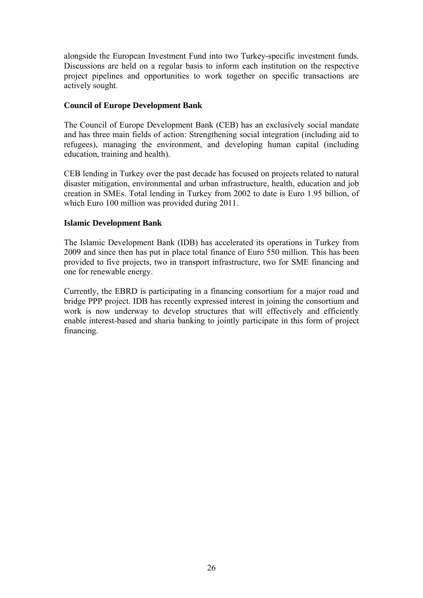alongside the European Investment Fund into two Turkey-specific investment funds. Discussions are held on a regular basis to inform each institution on the respective project pipelines and opportunities to work together on specific transactions are actively sought.

### **Council of Europe Development Bank**

The Council of Europe Development Bank (CEB) has an exclusively social mandate and has three main fields of action: Strengthening social integration (including aid to refugees), managing the environment, and developing human capital (including education, training and health).

CEB lending in Turkey over the past decade has focused on projects related to natural disaster mitigation, environmental and urban infrastructure, health, education and job creation in SMEs. Total lending in Turkey from 2002 to date is Euro 1.95 billion, of which Euro 100 million was provided during 2011.

### **Islamic Development Bank**

The Islamic Development Bank (IDB) has accelerated its operations in Turkey from 2009 and since then has put in place total finance of Euro 550 million. This has been provided to five projects, two in transport infrastructure, two for SME financing and one for renewable energy.

Currently, the EBRD is participating in a financing consortium for a major road and bridge PPP project. IDB has recently expressed interest in joining the consortium and work is now underway to develop structures that will effectively and efficiently enable interest-based and sharia banking to jointly participate in this form of project financing.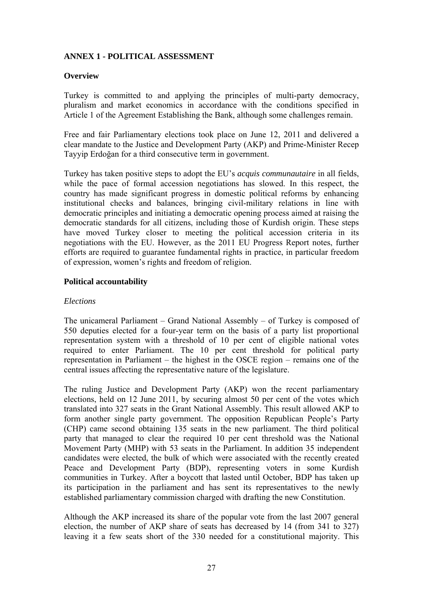# <span id="page-28-0"></span>**ANNEX 1 - POLITICAL ASSESSMENT**

### **Overview**

Turkey is committed to and applying the principles of multi-party democracy, pluralism and market economics in accordance with the conditions specified in Article 1 of the Agreement Establishing the Bank, although some challenges remain.

Free and fair Parliamentary elections took place on June 12, 2011 and delivered a clear mandate to the Justice and Development Party (AKP) and Prime-Minister Recep Tayyip Erdoğan for a third consecutive term in government.

Turkey has taken positive steps to adopt the EU's *acquis communautaire* in all fields, while the pace of formal accession negotiations has slowed. In this respect, the country has made significant progress in domestic political reforms by enhancing institutional checks and balances, bringing civil-military relations in line with democratic principles and initiating a democratic opening process aimed at raising the democratic standards for all citizens, including those of Kurdish origin. These steps have moved Turkey closer to meeting the political accession criteria in its negotiations with the EU. However, as the 2011 EU Progress Report notes, further efforts are required to guarantee fundamental rights in practice, in particular freedom of expression, women's rights and freedom of religion.

### **Political accountability**

### *Elections*

The unicameral Parliament – Grand National Assembly – of Turkey is composed of 550 deputies elected for a four-year term on the basis of a party list proportional representation system with a threshold of 10 per cent of eligible national votes required to enter Parliament. The 10 per cent threshold for political party representation in Parliament – the highest in the OSCE region – remains one of the central issues affecting the representative nature of the legislature.

The ruling Justice and Development Party (AKP) won the recent parliamentary elections, held on 12 June 2011, by securing almost 50 per cent of the votes which translated into 327 seats in the Grant National Assembly. This result allowed AKP to form another single party government. The opposition Republican People's Party (CHP) came second obtaining 135 seats in the new parliament. The third political party that managed to clear the required 10 per cent threshold was the National Movement Party (MHP) with 53 seats in the Parliament. In addition 35 independent candidates were elected, the bulk of which were associated with the recently created Peace and Development Party (BDP), representing voters in some Kurdish communities in Turkey. After a boycott that lasted until October, BDP has taken up its participation in the parliament and has sent its representatives to the newly established parliamentary commission charged with drafting the new Constitution.

Although the AKP increased its share of the popular vote from the last 2007 general election, the number of AKP share of seats has decreased by 14 (from 341 to 327) leaving it a few seats short of the 330 needed for a constitutional majority. This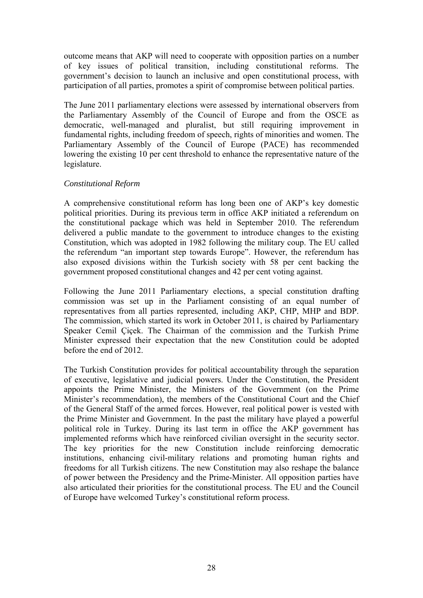outcome means that AKP will need to cooperate with opposition parties on a number of key issues of political transition, including constitutional reforms. The government's decision to launch an inclusive and open constitutional process, with participation of all parties, promotes a spirit of compromise between political parties.

The June 2011 parliamentary elections were assessed by international observers from the Parliamentary Assembly of the Council of Europe and from the OSCE as democratic, well-managed and pluralist, but still requiring improvement in fundamental rights, including freedom of speech, rights of minorities and women. The Parliamentary Assembly of the Council of Europe (PACE) has recommended lowering the existing 10 per cent threshold to enhance the representative nature of the legislature.

### *Constitutional Reform*

A comprehensive constitutional reform has long been one of AKP's key domestic political priorities. During its previous term in office AKP initiated a referendum on the constitutional package which was held in September 2010. The referendum delivered a public mandate to the government to introduce changes to the existing Constitution, which was adopted in 1982 following the military coup. The EU called the referendum "an important step towards Europe". However, the referendum has also exposed divisions within the Turkish society with 58 per cent backing the government proposed constitutional changes and 42 per cent voting against.

Following the June 2011 Parliamentary elections, a special constitution drafting commission was set up in the Parliament consisting of an equal number of representatives from all parties represented, including AKP, CHP, MHP and BDP. The commission, which started its work in October 2011, is chaired by Parliamentary Speaker Cemil Çiçek. The Chairman of the commission and the Turkish Prime Minister expressed their expectation that the new Constitution could be adopted before the end of 2012.

The Turkish Constitution provides for political accountability through the separation of executive, legislative and judicial powers. Under the Constitution, the President appoints the Prime Minister, the Ministers of the Government (on the Prime Minister's recommendation), the members of the Constitutional Court and the Chief of the General Staff of the armed forces. However, real political power is vested with the Prime Minister and Government. In the past the military have played a powerful political role in Turkey. During its last term in office the AKP government has implemented reforms which have reinforced civilian oversight in the security sector. The key priorities for the new Constitution include reinforcing democratic institutions, enhancing civil-military relations and promoting human rights and freedoms for all Turkish citizens. The new Constitution may also reshape the balance of power between the Presidency and the Prime-Minister. All opposition parties have also articulated their priorities for the constitutional process. The EU and the Council of Europe have welcomed Turkey's constitutional reform process.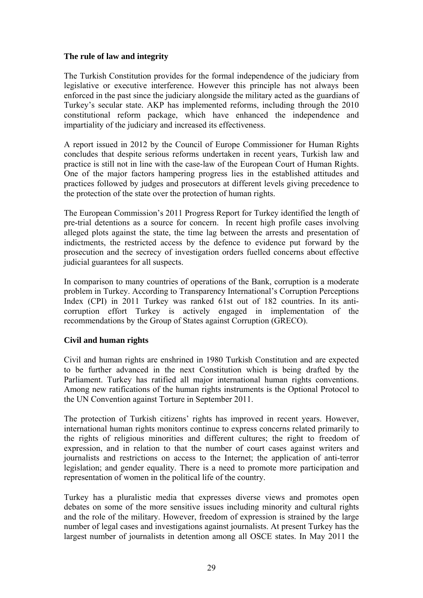### **The rule of law and integrity**

The Turkish Constitution provides for the formal independence of the judiciary from legislative or executive interference. However this principle has not always been enforced in the past since the judiciary alongside the military acted as the guardians of Turkey's secular state. AKP has implemented reforms, including through the 2010 constitutional reform package, which have enhanced the independence and impartiality of the judiciary and increased its effectiveness.

A report issued in 2012 by the Council of Europe Commissioner for Human Rights concludes that despite serious reforms undertaken in recent years, Turkish law and practice is still not in line with the case-law of the European Court of Human Rights. One of the major factors hampering progress lies in the established attitudes and practices followed by judges and prosecutors at different levels giving precedence to the protection of the state over the protection of human rights.

The European Commission's 2011 Progress Report for Turkey identified the length of pre-trial detentions as a source for concern. In recent high profile cases involving alleged plots against the state, the time lag between the arrests and presentation of indictments, the restricted access by the defence to evidence put forward by the prosecution and the secrecy of investigation orders fuelled concerns about effective judicial guarantees for all suspects.

In comparison to many countries of operations of the Bank, corruption is a moderate problem in Turkey. According to Transparency International's Corruption Perceptions Index (CPI) in 2011 Turkey was ranked 61st out of 182 countries. In its anticorruption effort Turkey is actively engaged in implementation of the recommendations by the Group of States against Corruption (GRECO).

# **Civil and human rights**

Civil and human rights are enshrined in 1980 Turkish Constitution and are expected to be further advanced in the next Constitution which is being drafted by the Parliament. Turkey has ratified all major international human rights conventions. Among new ratifications of the human rights instruments is the Optional Protocol to the UN Convention against Torture in September 2011.

The protection of Turkish citizens' rights has improved in recent years. However, international human rights monitors continue to express concerns related primarily to the rights of religious minorities and different cultures; the right to freedom of expression, and in relation to that the number of court cases against writers and journalists and restrictions on access to the Internet; the application of anti-terror legislation; and gender equality. There is a need to promote more participation and representation of women in the political life of the country.

Turkey has a pluralistic media that expresses diverse views and promotes open debates on some of the more sensitive issues including minority and cultural rights and the role of the military. However, freedom of expression is strained by the large number of legal cases and investigations against journalists. At present Turkey has the largest number of journalists in detention among all OSCE states. In May 2011 the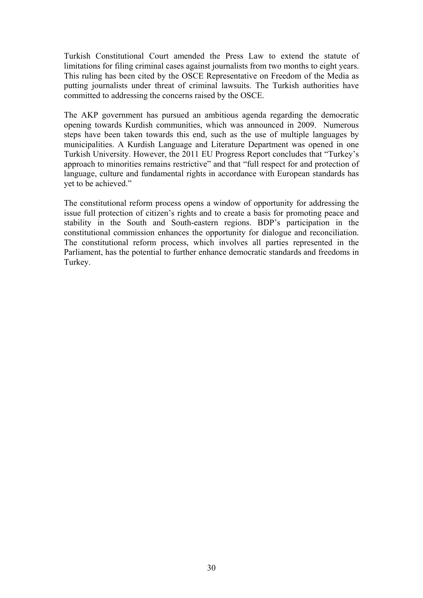Turkish Constitutional Court amended the Press Law to extend the statute of limitations for filing criminal cases against journalists from two months to eight years. This ruling has been cited by the OSCE Representative on Freedom of the Media as putting journalists under threat of criminal lawsuits. The Turkish authorities have committed to addressing the concerns raised by the OSCE.

The AKP government has pursued an ambitious agenda regarding the democratic opening towards Kurdish communities, which was announced in 2009. Numerous steps have been taken towards this end, such as the use of multiple languages by municipalities. A Kurdish Language and Literature Department was opened in one Turkish University. However, the 2011 EU Progress Report concludes that "Turkey's approach to minorities remains restrictive" and that "full respect for and protection of language, culture and fundamental rights in accordance with European standards has yet to be achieved."

The constitutional reform process opens a window of opportunity for addressing the issue full protection of citizen's rights and to create a basis for promoting peace and stability in the South and South-eastern regions. BDP's participation in the constitutional commission enhances the opportunity for dialogue and reconciliation. The constitutional reform process, which involves all parties represented in the Parliament, has the potential to further enhance democratic standards and freedoms in Turkey.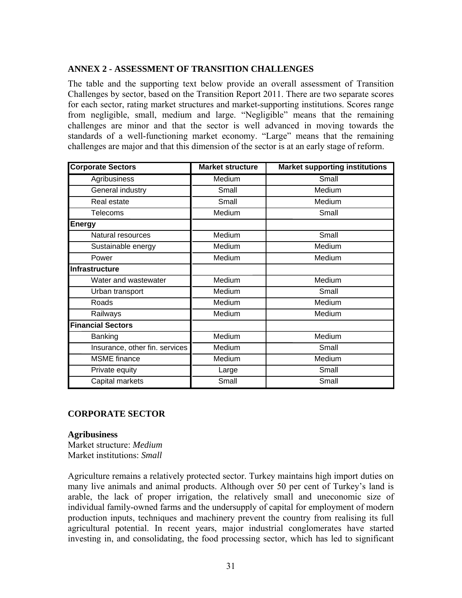# **ANNEX 2 - ASSESSMENT OF TRANSITION CHALLENGES**

<span id="page-32-0"></span>The table and the supporting text below provide an overall assessment of Transition Challenges by sector, based on the Transition Report 2011. There are two separate scores for each sector, rating market structures and market-supporting institutions. Scores range from negligible, small, medium and large. "Negligible" means that the remaining challenges are minor and that the sector is well advanced in moving towards the standards of a well-functioning market economy. "Large" means that the remaining challenges are major and that this dimension of the sector is at an early stage of reform.

| <b>Corporate Sectors</b>       | <b>Market structure</b> | <b>Market supporting institutions</b> |  |  |  |
|--------------------------------|-------------------------|---------------------------------------|--|--|--|
| Agribusiness                   | Medium                  | Small                                 |  |  |  |
| General industry               | Small                   | Medium                                |  |  |  |
| Real estate                    | Small                   | Medium                                |  |  |  |
| <b>Telecoms</b>                | Medium                  | Small                                 |  |  |  |
| <b>Energy</b>                  |                         |                                       |  |  |  |
| Natural resources              | Medium                  | Small                                 |  |  |  |
| Sustainable energy             | Medium                  | Medium                                |  |  |  |
| Power                          | Medium                  | Medium                                |  |  |  |
| <b>Infrastructure</b>          |                         |                                       |  |  |  |
| Water and wastewater           | Medium                  | Medium                                |  |  |  |
| Urban transport                | Medium                  | Small                                 |  |  |  |
| Roads                          | Medium                  | Medium                                |  |  |  |
| Railways                       | Medium                  | Medium                                |  |  |  |
| <b>Financial Sectors</b>       |                         |                                       |  |  |  |
| Banking                        | Medium                  | Medium                                |  |  |  |
| Insurance, other fin. services | Medium                  | Small                                 |  |  |  |
| <b>MSME</b> finance            | Medium                  | Medium                                |  |  |  |
| Private equity                 | Large                   | Small                                 |  |  |  |
| Capital markets                | Small                   | Small                                 |  |  |  |

# **CORPORATE SECTOR**

### **Agribusiness**

Market structure: *Medium*  Market institutions: *Small* 

Agriculture remains a relatively protected sector. Turkey maintains high import duties on many live animals and animal products. Although over 50 per cent of Turkey's land is arable, the lack of proper irrigation, the relatively small and uneconomic size of individual family-owned farms and the undersupply of capital for employment of modern production inputs, techniques and machinery prevent the country from realising its full agricultural potential. In recent years, major industrial conglomerates have started investing in, and consolidating, the food processing sector, which has led to significant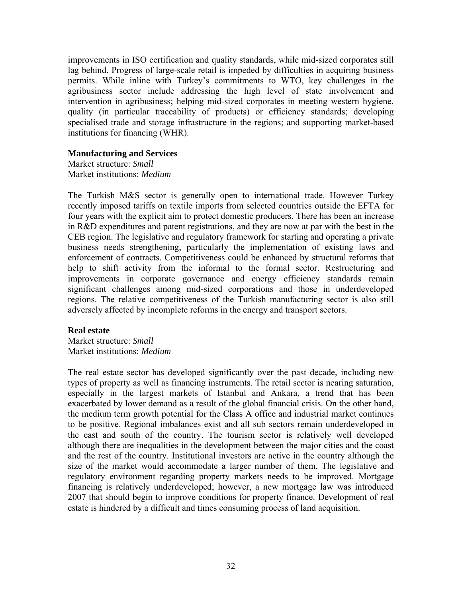improvements in ISO certification and quality standards, while mid-sized corporates still lag behind. Progress of large-scale retail is impeded by difficulties in acquiring business permits. While inline with Turkey's commitments to WTO, key challenges in the agribusiness sector include addressing the high level of state involvement and intervention in agribusiness; helping mid-sized corporates in meeting western hygiene, quality (in particular traceability of products) or efficiency standards; developing specialised trade and storage infrastructure in the regions; and supporting market-based institutions for financing (WHR).

### **Manufacturing and Services**

Market structure: *Small*  Market institutions: *Medium*

The Turkish M&S sector is generally open to international trade. However Turkey recently imposed tariffs on textile imports from selected countries outside the EFTA for four years with the explicit aim to protect domestic producers. There has been an increase in R&D expenditures and patent registrations, and they are now at par with the best in the CEB region. The legislative and regulatory framework for starting and operating a private business needs strengthening, particularly the implementation of existing laws and enforcement of contracts. Competitiveness could be enhanced by structural reforms that help to shift activity from the informal to the formal sector. Restructuring and improvements in corporate governance and energy efficiency standards remain significant challenges among mid-sized corporations and those in underdeveloped regions. The relative competitiveness of the Turkish manufacturing sector is also still adversely affected by incomplete reforms in the energy and transport sectors.

### **Real estate**

Market structure: *Small*  Market institutions: *Medium*

The real estate sector has developed significantly over the past decade, including new types of property as well as financing instruments. The retail sector is nearing saturation, especially in the largest markets of Istanbul and Ankara, a trend that has been exacerbated by lower demand as a result of the global financial crisis. On the other hand, the medium term growth potential for the Class A office and industrial market continues to be positive. Regional imbalances exist and all sub sectors remain underdeveloped in the east and south of the country. The tourism sector is relatively well developed although there are inequalities in the development between the major cities and the coast and the rest of the country. Institutional investors are active in the country although the size of the market would accommodate a larger number of them. The legislative and regulatory environment regarding property markets needs to be improved. Mortgage financing is relatively underdeveloped; however, a new mortgage law was introduced 2007 that should begin to improve conditions for property finance. Development of real estate is hindered by a difficult and times consuming process of land acquisition.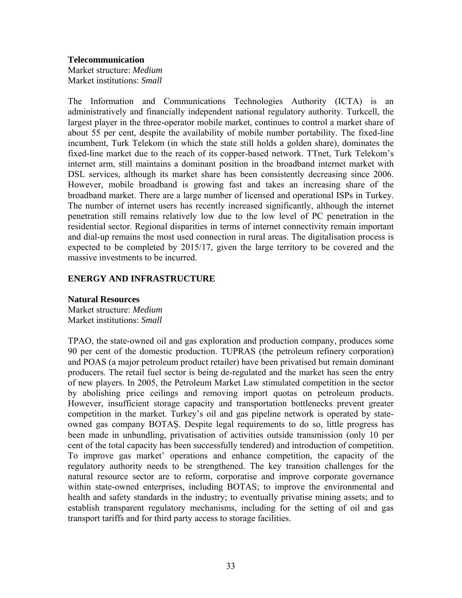**Telecommunication** 

Market structure: *Medium*  Market institutions: *Small*

The Information and Communications Technologies Authority (ICTA) is an administratively and financially independent national regulatory authority. Turkcell, the largest player in the three-operator mobile market, continues to control a market share of about 55 per cent, despite the availability of mobile number portability. The fixed-line incumbent, Turk Telekom (in which the state still holds a golden share), dominates the fixed-line market due to the reach of its copper-based network. TTnet, Turk Telekom's internet arm, still maintains a dominant position in the broadband internet market with DSL services, although its market share has been consistently decreasing since 2006. However, mobile broadband is growing fast and takes an increasing share of the broadband market. There are a large number of licensed and operational ISPs in Turkey. The number of internet users has recently increased significantly, although the internet penetration still remains relatively low due to the low level of PC penetration in the residential sector. Regional disparities in terms of internet connectivity remain important and dial-up remains the most used connection in rural areas. The digitalisation process is expected to be completed by 2015/17, given the large territory to be covered and the massive investments to be incurred.

### **ENERGY AND INFRASTRUCTURE**

**Natural Resources**  Market structure: *Medium*  Market institutions: *Small*

TPAO, the state-owned oil and gas exploration and production company, produces some 90 per cent of the domestic production. TUPRAS (the petroleum refinery corporation) and POAS (a major petroleum product retailer) have been privatised but remain dominant producers. The retail fuel sector is being de-regulated and the market has seen the entry of new players. In 2005, the Petroleum Market Law stimulated competition in the sector by abolishing price ceilings and removing import quotas on petroleum products. However, insufficient storage capacity and transportation bottlenecks prevent greater competition in the market. Turkey's oil and gas pipeline network is operated by stateowned gas company BOTAŞ. Despite legal requirements to do so, little progress has been made in unbundling, privatisation of activities outside transmission (only 10 per cent of the total capacity has been successfully tendered) and introduction of competition. To improve gas market' operations and enhance competition, the capacity of the regulatory authority needs to be strengthened. The key transition challenges for the natural resource sector are to reform, corporatise and improve corporate governance within state-owned enterprises, including BOTAS; to improve the environmental and health and safety standards in the industry; to eventually privatise mining assets; and to establish transparent regulatory mechanisms, including for the setting of oil and gas transport tariffs and for third party access to storage facilities.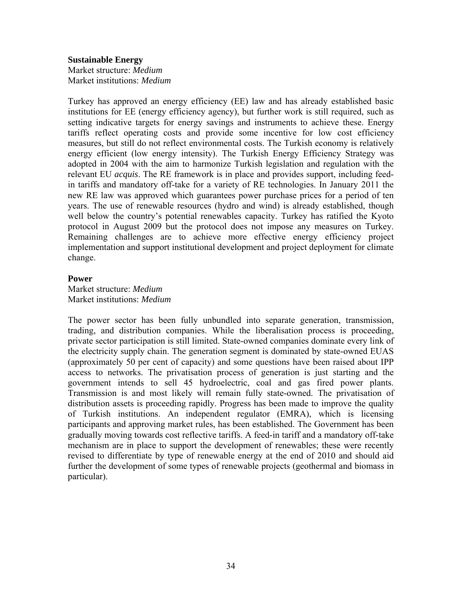#### **Sustainable Energy**

Market structure: *Medium*  Market institutions: *Medium*

Turkey has approved an energy efficiency (EE) law and has already established basic institutions for EE (energy efficiency agency), but further work is still required, such as setting indicative targets for energy savings and instruments to achieve these. Energy tariffs reflect operating costs and provide some incentive for low cost efficiency measures, but still do not reflect environmental costs. The Turkish economy is relatively energy efficient (low energy intensity). The Turkish Energy Efficiency Strategy was adopted in 2004 with the aim to harmonize Turkish legislation and regulation with the relevant EU *acquis*. The RE framework is in place and provides support, including feedin tariffs and mandatory off-take for a variety of RE technologies. In January 2011 the new RE law was approved which guarantees power purchase prices for a period of ten years. The use of renewable resources (hydro and wind) is already established, though well below the country's potential renewables capacity. Turkey has ratified the Kyoto protocol in August 2009 but the protocol does not impose any measures on Turkey. Remaining challenges are to achieve more effective energy efficiency project implementation and support institutional development and project deployment for climate change.

#### **Power**

Market structure: *Medium*  Market institutions: *Medium*

The power sector has been fully unbundled into separate generation, transmission, trading, and distribution companies. While the liberalisation process is proceeding, private sector participation is still limited. State-owned companies dominate every link of the electricity supply chain. The generation segment is dominated by state-owned EUAS (approximately 50 per cent of capacity) and some questions have been raised about IPP access to networks. The privatisation process of generation is just starting and the government intends to sell 45 hydroelectric, coal and gas fired power plants. Transmission is and most likely will remain fully state-owned. The privatisation of distribution assets is proceeding rapidly. Progress has been made to improve the quality of Turkish institutions. An independent regulator (EMRA), which is licensing participants and approving market rules, has been established. The Government has been gradually moving towards cost reflective tariffs. A feed-in tariff and a mandatory off-take mechanism are in place to support the development of renewables; these were recently revised to differentiate by type of renewable energy at the end of 2010 and should aid further the development of some types of renewable projects (geothermal and biomass in particular).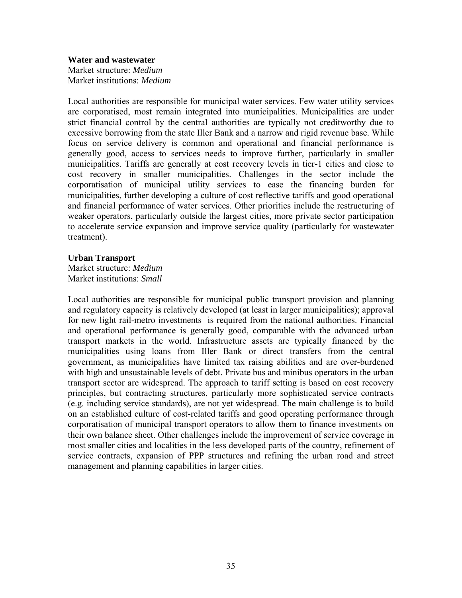**Water and wastewater**  Market structure: *Medium*  Market institutions: *Medium*

Local authorities are responsible for municipal water services. Few water utility services are corporatised, most remain integrated into municipalities. Municipalities are under strict financial control by the central authorities are typically not creditworthy due to excessive borrowing from the state Iller Bank and a narrow and rigid revenue base. While focus on service delivery is common and operational and financial performance is generally good, access to services needs to improve further, particularly in smaller municipalities. Tariffs are generally at cost recovery levels in tier-1 cities and close to cost recovery in smaller municipalities. Challenges in the sector include the corporatisation of municipal utility services to ease the financing burden for municipalities, further developing a culture of cost reflective tariffs and good operational and financial performance of water services. Other priorities include the restructuring of weaker operators, particularly outside the largest cities, more private sector participation to accelerate service expansion and improve service quality (particularly for wastewater treatment).

### **Urban Transport**

Market structure: *Medium*  Market institutions: *Small*

Local authorities are responsible for municipal public transport provision and planning and regulatory capacity is relatively developed (at least in larger municipalities); approval for new light rail-metro investments is required from the national authorities. Financial and operational performance is generally good, comparable with the advanced urban transport markets in the world. Infrastructure assets are typically financed by the municipalities using loans from Iller Bank or direct transfers from the central government, as municipalities have limited tax raising abilities and are over-burdened with high and unsustainable levels of debt. Private bus and minibus operators in the urban transport sector are widespread. The approach to tariff setting is based on cost recovery principles, but contracting structures, particularly more sophisticated service contracts (e.g. including service standards), are not yet widespread. The main challenge is to build on an established culture of cost-related tariffs and good operating performance through corporatisation of municipal transport operators to allow them to finance investments on their own balance sheet. Other challenges include the improvement of service coverage in most smaller cities and localities in the less developed parts of the country, refinement of service contracts, expansion of PPP structures and refining the urban road and street management and planning capabilities in larger cities.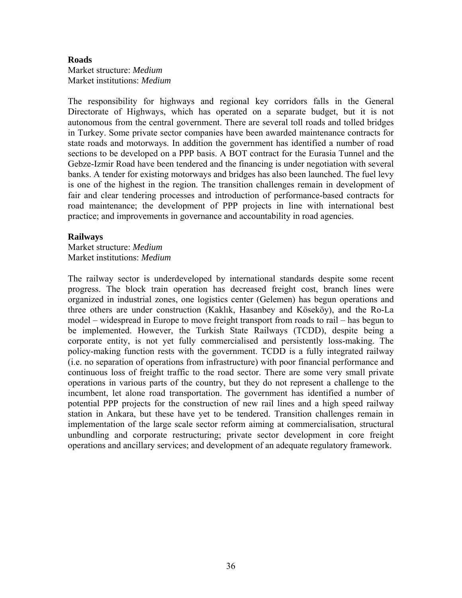#### **Roads**

Market structure: *Medium*  Market institutions: *Medium*

The responsibility for highways and regional key corridors falls in the General Directorate of Highways, which has operated on a separate budget, but it is not autonomous from the central government. There are several toll roads and tolled bridges in Turkey. Some private sector companies have been awarded maintenance contracts for state roads and motorways. In addition the government has identified a number of road sections to be developed on a PPP basis. A BOT contract for the Eurasia Tunnel and the Gebze-Izmir Road have been tendered and the financing is under negotiation with several banks. A tender for existing motorways and bridges has also been launched. The fuel levy is one of the highest in the region. The transition challenges remain in development of fair and clear tendering processes and introduction of performance-based contracts for road maintenance; the development of PPP projects in line with international best practice; and improvements in governance and accountability in road agencies.

#### **Railways**

Market structure: *Medium*  Market institutions: *Medium*

The railway sector is underdeveloped by international standards despite some recent progress. The block train operation has decreased freight cost, branch lines were organized in industrial zones, one logistics center (Gelemen) has begun operations and three others are under construction (Kaklık, Hasanbey and Köseköy), and the Ro-La model – widespread in Europe to move freight transport from roads to rail – has begun to be implemented. However, the Turkish State Railways (TCDD), despite being a corporate entity, is not yet fully commercialised and persistently loss-making. The policy-making function rests with the government. TCDD is a fully integrated railway (i.e. no separation of operations from infrastructure) with poor financial performance and continuous loss of freight traffic to the road sector. There are some very small private operations in various parts of the country, but they do not represent a challenge to the incumbent, let alone road transportation. The government has identified a number of potential PPP projects for the construction of new rail lines and a high speed railway station in Ankara, but these have yet to be tendered. Transition challenges remain in implementation of the large scale sector reform aiming at commercialisation, structural unbundling and corporate restructuring; private sector development in core freight operations and ancillary services; and development of an adequate regulatory framework.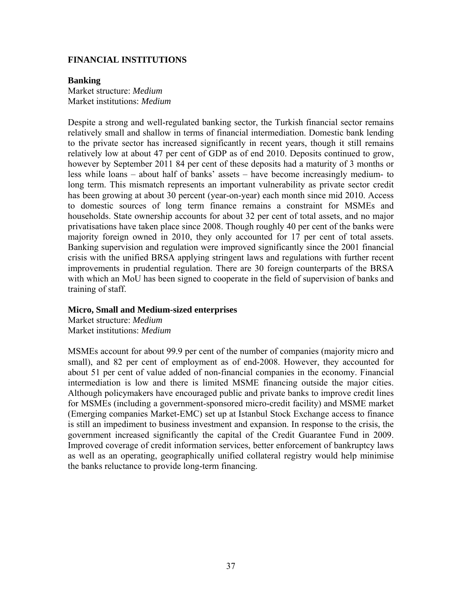### **FINANCIAL INSTITUTIONS**

#### **Banking**

Market structure: *Medium*  Market institutions: *Medium*

Despite a strong and well-regulated banking sector, the Turkish financial sector remains relatively small and shallow in terms of financial intermediation. Domestic bank lending to the private sector has increased significantly in recent years, though it still remains relatively low at about 47 per cent of GDP as of end 2010. Deposits continued to grow, however by September 2011 84 per cent of these deposits had a maturity of 3 months or less while loans – about half of banks' assets – have become increasingly medium- to long term. This mismatch represents an important vulnerability as private sector credit has been growing at about 30 percent (year-on-year) each month since mid 2010. Access to domestic sources of long term finance remains a constraint for MSMEs and households. State ownership accounts for about 32 per cent of total assets, and no major privatisations have taken place since 2008. Though roughly 40 per cent of the banks were majority foreign owned in 2010, they only accounted for 17 per cent of total assets. Banking supervision and regulation were improved significantly since the 2001 financial crisis with the unified BRSA applying stringent laws and regulations with further recent improvements in prudential regulation. There are 30 foreign counterparts of the BRSA with which an MoU has been signed to cooperate in the field of supervision of banks and training of staff.

### **Micro, Small and Medium-sized enterprises**

Market structure: *Medium*  Market institutions: *Medium*

MSMEs account for about 99.9 per cent of the number of companies (majority micro and small), and 82 per cent of employment as of end-2008. However, they accounted for about 51 per cent of value added of non-financial companies in the economy. Financial intermediation is low and there is limited MSME financing outside the major cities. Although policymakers have encouraged public and private banks to improve credit lines for MSMEs (including a government-sponsored micro-credit facility) and MSME market (Emerging companies Market-EMC) set up at Istanbul Stock Exchange access to finance is still an impediment to business investment and expansion. In response to the crisis, the government increased significantly the capital of the Credit Guarantee Fund in 2009. Improved coverage of credit information services, better enforcement of bankruptcy laws as well as an operating, geographically unified collateral registry would help minimise the banks reluctance to provide long-term financing.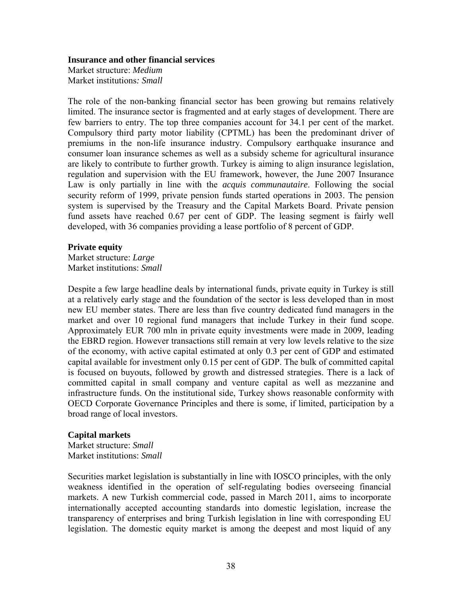#### **Insurance and other financial services**

Market structure: *Medium*  Market institutions*: Small* 

The role of the non-banking financial sector has been growing but remains relatively limited. The insurance sector is fragmented and at early stages of development. There are few barriers to entry. The top three companies account for 34.1 per cent of the market. Compulsory third party motor liability (CPTML) has been the predominant driver of premiums in the non-life insurance industry. Compulsory earthquake insurance and consumer loan insurance schemes as well as a subsidy scheme for agricultural insurance are likely to contribute to further growth. Turkey is aiming to align insurance legislation, regulation and supervision with the EU framework, however, the June 2007 Insurance Law is only partially in line with the *acquis communautaire*. Following the social security reform of 1999, private pension funds started operations in 2003. The pension system is supervised by the Treasury and the Capital Markets Board. Private pension fund assets have reached 0.67 per cent of GDP. The leasing segment is fairly well developed, with 36 companies providing a lease portfolio of 8 percent of GDP.

#### **Private equity**

Market structure: *Large*  Market institutions: *Small*

Despite a few large headline deals by international funds, private equity in Turkey is still at a relatively early stage and the foundation of the sector is less developed than in most new EU member states. There are less than five country dedicated fund managers in the market and over 10 regional fund managers that include Turkey in their fund scope. Approximately EUR 700 mln in private equity investments were made in 2009, leading the EBRD region. However transactions still remain at very low levels relative to the size of the economy, with active capital estimated at only 0.3 per cent of GDP and estimated capital available for investment only 0.15 per cent of GDP. The bulk of committed capital is focused on buyouts, followed by growth and distressed strategies. There is a lack of committed capital in small company and venture capital as well as mezzanine and infrastructure funds. On the institutional side, Turkey shows reasonable conformity with OECD Corporate Governance Principles and there is some, if limited, participation by a broad range of local investors.

#### **Capital markets**

Market structure: *Small*  Market institutions: *Small* 

Securities market legislation is substantially in line with IOSCO principles, with the only weakness identified in the operation of self-regulating bodies overseeing financial markets. A new Turkish commercial code, passed in March 2011, aims to incorporate internationally accepted accounting standards into domestic legislation, increase the transparency of enterprises and bring Turkish legislation in line with corresponding EU legislation. The domestic equity market is among the deepest and most liquid of any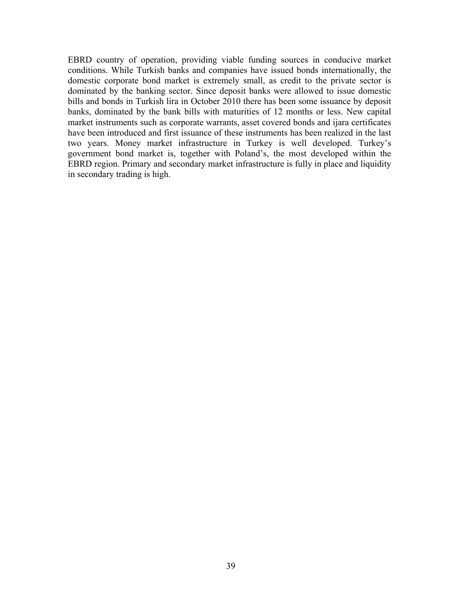EBRD country of operation, providing viable funding sources in conducive market conditions. While Turkish banks and companies have issued bonds internationally, the domestic corporate bond market is extremely small, as credit to the private sector is dominated by the banking sector. Since deposit banks were allowed to issue domestic bills and bonds in Turkish lira in October 2010 there has been some issuance by deposit banks, dominated by the bank bills with maturities of 12 months or less. New capital market instruments such as corporate warrants, asset covered bonds and ijara certificates have been introduced and first issuance of these instruments has been realized in the last two years. Money market infrastructure in Turkey is well developed. Turkey's government bond market is, together with Poland's, the most developed within the EBRD region. Primary and secondary market infrastructure is fully in place and liquidity in secondary trading is high.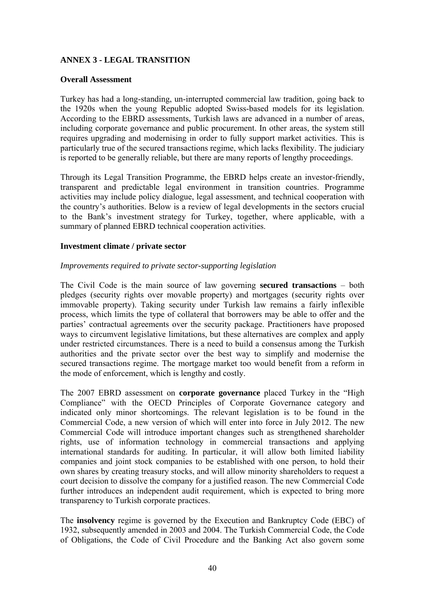# <span id="page-41-0"></span>**ANNEX 3 - LEGAL TRANSITION**

#### **Overall Assessment**

Turkey has had a long-standing, un-interrupted commercial law tradition, going back to the 1920s when the young Republic adopted Swiss-based models for its legislation. According to the EBRD assessments, Turkish laws are advanced in a number of areas, including corporate governance and public procurement. In other areas, the system still requires upgrading and modernising in order to fully support market activities. This is particularly true of the secured transactions regime, which lacks flexibility. The judiciary is reported to be generally reliable, but there are many reports of lengthy proceedings.

Through its Legal Transition Programme, the EBRD helps create an investor-friendly, transparent and predictable legal environment in transition countries. Programme activities may include policy dialogue, legal assessment, and technical cooperation with the country's authorities. Below is a review of legal developments in the sectors crucial to the Bank's investment strategy for Turkey, together, where applicable, with a summary of planned EBRD technical cooperation activities.

### **Investment climate / private sector**

### *Improvements required to private sector-supporting legislation*

The Civil Code is the main source of law governing **secured transactions** – both pledges (security rights over movable property) and mortgages (security rights over immovable property). Taking security under Turkish law remains a fairly inflexible process, which limits the type of collateral that borrowers may be able to offer and the parties' contractual agreements over the security package. Practitioners have proposed ways to circumvent legislative limitations, but these alternatives are complex and apply under restricted circumstances. There is a need to build a consensus among the Turkish authorities and the private sector over the best way to simplify and modernise the secured transactions regime. The mortgage market too would benefit from a reform in the mode of enforcement, which is lengthy and costly.

The 2007 EBRD assessment on **corporate governance** placed Turkey in the "High Compliance" with the OECD Principles of Corporate Governance category and indicated only minor shortcomings. The relevant legislation is to be found in the Commercial Code, a new version of which will enter into force in July 2012. The new Commercial Code will introduce important changes such as strengthened shareholder rights, use of information technology in commercial transactions and applying international standards for auditing. In particular, it will allow both limited liability companies and joint stock companies to be established with one person, to hold their own shares by creating treasury stocks, and will allow minority shareholders to request a court decision to dissolve the company for a justified reason. The new Commercial Code further introduces an independent audit requirement, which is expected to bring more transparency to Turkish corporate practices.

The **insolvency** regime is governed by the Execution and Bankruptcy Code (EBC) of 1932, subsequently amended in 2003 and 2004. The Turkish Commercial Code, the Code of Obligations, the Code of Civil Procedure and the Banking Act also govern some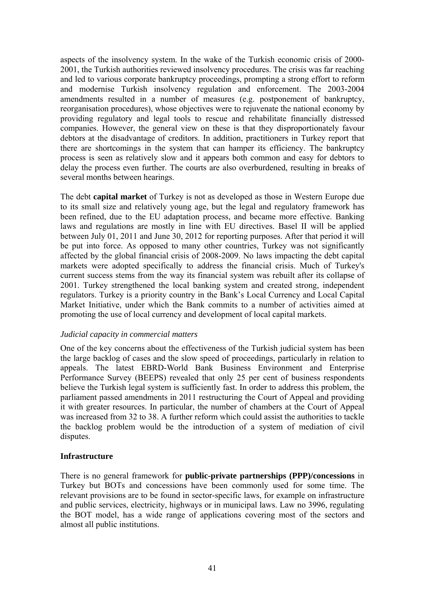aspects of the insolvency system. In the wake of the Turkish economic crisis of 2000- 2001, the Turkish authorities reviewed insolvency procedures. The crisis was far reaching and led to various corporate bankruptcy proceedings, prompting a strong effort to reform and modernise Turkish insolvency regulation and enforcement. The 2003-2004 amendments resulted in a number of measures (e.g. postponement of bankruptcy, reorganisation procedures), whose objectives were to rejuvenate the national economy by providing regulatory and legal tools to rescue and rehabilitate financially distressed companies. However, the general view on these is that they disproportionately favour debtors at the disadvantage of creditors. In addition, practitioners in Turkey report that there are shortcomings in the system that can hamper its efficiency. The bankruptcy process is seen as relatively slow and it appears both common and easy for debtors to delay the process even further. The courts are also overburdened, resulting in breaks of several months between hearings.

The debt **capital market** of Turkey is not as developed as those in Western Europe due to its small size and relatively young age, but the legal and regulatory framework has been refined, due to the EU adaptation process, and became more effective. Banking laws and regulations are mostly in line with EU directives. Basel II will be applied between July 01, 2011 and June 30, 2012 for reporting purposes. After that period it will be put into force. As opposed to many other countries, Turkey was not significantly affected by the global financial crisis of 2008-2009. No laws impacting the debt capital markets were adopted specifically to address the financial crisis. Much of Turkey's current success stems from the way its financial system was rebuilt after its collapse of 2001. Turkey strengthened the local banking system and created strong, independent regulators. Turkey is a priority country in the Bank's Local Currency and Local Capital Market Initiative, under which the Bank commits to a number of activities aimed at promoting the use of local currency and development of local capital markets.

### *Judicial capacity in commercial matters*

One of the key concerns about the effectiveness of the Turkish judicial system has been the large backlog of cases and the slow speed of proceedings, particularly in relation to appeals. The latest EBRD-World Bank Business Environment and Enterprise Performance Survey (BEEPS) revealed that only 25 per cent of business respondents believe the Turkish legal system is sufficiently fast. In order to address this problem, the parliament passed amendments in 2011 restructuring the Court of Appeal and providing it with greater resources. In particular, the number of chambers at the Court of Appeal was increased from 32 to 38. A further reform which could assist the authorities to tackle the backlog problem would be the introduction of a system of mediation of civil disputes.

### **Infrastructure**

There is no general framework for **public-private partnerships (PPP)/concessions** in Turkey but BOTs and concessions have been commonly used for some time. The relevant provisions are to be found in sector-specific laws, for example on infrastructure and public services, electricity, highways or in municipal laws. Law no 3996, regulating the BOT model, has a wide range of applications covering most of the sectors and almost all public institutions.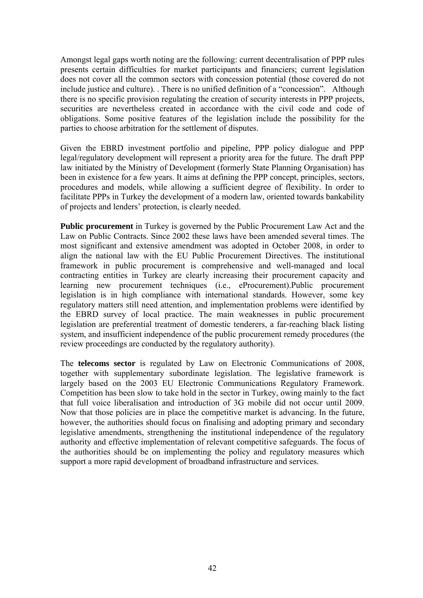Amongst legal gaps worth noting are the following: current decentralisation of PPP rules presents certain difficulties for market participants and financiers; current legislation does not cover all the common sectors with concession potential (those covered do not include justice and culture). . There is no unified definition of a "concession". Although there is no specific provision regulating the creation of security interests in PPP projects, securities are nevertheless created in accordance with the civil code and code of obligations. Some positive features of the legislation include the possibility for the parties to choose arbitration for the settlement of disputes.

Given the EBRD investment portfolio and pipeline, PPP policy dialogue and PPP legal/regulatory development will represent a priority area for the future. The draft PPP law initiated by the Ministry of Development (formerly State Planning Organisation) has been in existence for a few years. It aims at defining the PPP concept, principles, sectors, procedures and models, while allowing a sufficient degree of flexibility. In order to facilitate PPPs in Turkey the development of a modern law, oriented towards bankability of projects and lenders' protection, is clearly needed.

**Public procurement** in Turkey is governed by the Public Procurement Law Act and the Law on Public Contracts. Since 2002 these laws have been amended several times. The most significant and extensive amendment was adopted in October 2008, in order to align the national law with the EU Public Procurement Directives. The institutional framework in public procurement is comprehensive and well-managed and local contracting entities in Turkey are clearly increasing their procurement capacity and learning new procurement techniques (i.e., eProcurement).Public procurement legislation is in high compliance with international standards. However, some key regulatory matters still need attention, and implementation problems were identified by the EBRD survey of local practice. The main weaknesses in public procurement legislation are preferential treatment of domestic tenderers, a far-reaching black listing system, and insufficient independence of the public procurement remedy procedures (the review proceedings are conducted by the regulatory authority).

The **telecoms sector** is regulated by Law on Electronic Communications of 2008, together with supplementary subordinate legislation. The legislative framework is largely based on the 2003 EU Electronic Communications Regulatory Framework. Competition has been slow to take hold in the sector in Turkey, owing mainly to the fact that full voice liberalisation and introduction of 3G mobile did not occur until 2009. Now that those policies are in place the competitive market is advancing. In the future, however, the authorities should focus on finalising and adopting primary and secondary legislative amendments, strengthening the institutional independence of the regulatory authority and effective implementation of relevant competitive safeguards. The focus of the authorities should be on implementing the policy and regulatory measures which support a more rapid development of broadband infrastructure and services.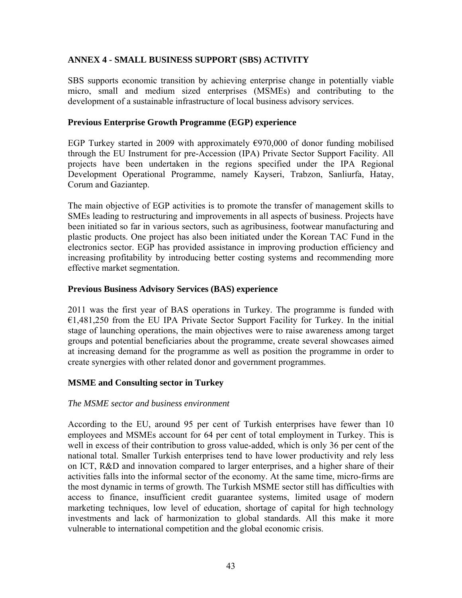# **ANNEX 4 - SMALL BUSINESS SUPPORT (SBS) ACTIVITY**

<span id="page-44-0"></span>SBS supports economic transition by achieving enterprise change in potentially viable micro, small and medium sized enterprises (MSMEs) and contributing to the development of a sustainable infrastructure of local business advisory services.

# **Previous Enterprise Growth Programme (EGP) experience**

EGP Turkey started in 2009 with approximately  $\epsilon$ 970,000 of donor funding mobilised through the EU Instrument for pre-Accession (IPA) Private Sector Support Facility. All projects have been undertaken in the regions specified under the IPA Regional Development Operational Programme, namely Kayseri, Trabzon, Sanliurfa, Hatay, Corum and Gaziantep.

The main objective of EGP activities is to promote the transfer of management skills to SMEs leading to restructuring and improvements in all aspects of business. Projects have been initiated so far in various sectors, such as agribusiness, footwear manufacturing and plastic products. One project has also been initiated under the Korean TAC Fund in the electronics sector. EGP has provided assistance in improving production efficiency and increasing profitability by introducing better costing systems and recommending more effective market segmentation.

# **Previous Business Advisory Services (BAS) experience**

2011 was the first year of BAS operations in Turkey. The programme is funded with  $E1,481,250$  from the EU IPA Private Sector Support Facility for Turkey. In the initial stage of launching operations, the main objectives were to raise awareness among target groups and potential beneficiaries about the programme, create several showcases aimed at increasing demand for the programme as well as position the programme in order to create synergies with other related donor and government programmes.

# **MSME and Consulting sector in Turkey**

# *The MSME sector and business environment*

According to the EU, around 95 per cent of Turkish enterprises have fewer than 10 employees and MSMEs account for 64 per cent of total employment in Turkey. This is well in excess of their contribution to gross value-added, which is only 36 per cent of the national total. Smaller Turkish enterprises tend to have lower productivity and rely less on ICT, R&D and innovation compared to larger enterprises, and a higher share of their activities falls into the informal sector of the economy. At the same time, micro-firms are the most dynamic in terms of growth. The Turkish MSME sector still has difficulties with access to finance, insufficient credit guarantee systems, limited usage of modern marketing techniques, low level of education, shortage of capital for high technology investments and lack of harmonization to global standards. All this make it more vulnerable to international competition and the global economic crisis.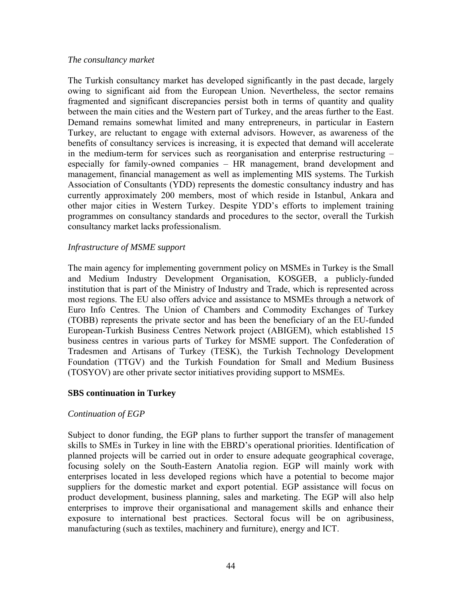#### *The consultancy market*

The Turkish consultancy market has developed significantly in the past decade, largely owing to significant aid from the European Union. Nevertheless, the sector remains fragmented and significant discrepancies persist both in terms of quantity and quality between the main cities and the Western part of Turkey, and the areas further to the East. Demand remains somewhat limited and many entrepreneurs, in particular in Eastern Turkey, are reluctant to engage with external advisors. However, as awareness of the benefits of consultancy services is increasing, it is expected that demand will accelerate in the medium-term for services such as reorganisation and enterprise restructuring – especially for family-owned companies – HR management, brand development and management, financial management as well as implementing MIS systems. The Turkish Association of Consultants (YDD) represents the domestic consultancy industry and has currently approximately 200 members, most of which reside in Istanbul, Ankara and other major cities in Western Turkey. Despite YDD's efforts to implement training programmes on consultancy standards and procedures to the sector, overall the Turkish consultancy market lacks professionalism.

### *Infrastructure of MSME support*

The main agency for implementing government policy on MSMEs in Turkey is the Small and Medium Industry Development Organisation, KOSGEB, a publicly-funded institution that is part of the Ministry of Industry and Trade, which is represented across most regions. The EU also offers advice and assistance to MSMEs through a network of Euro Info Centres. The Union of Chambers and Commodity Exchanges of Turkey (TOBB) represents the private sector and has been the beneficiary of an the EU-funded European-Turkish Business Centres Network project (ABIGEM), which established 15 business centres in various parts of Turkey for MSME support. The Confederation of Tradesmen and Artisans of Turkey (TESK), the Turkish Technology Development Foundation (TTGV) and the Turkish Foundation for Small and Medium Business (TOSYOV) are other private sector initiatives providing support to MSMEs.

### **SBS continuation in Turkey**

# *Continuation of EGP*

Subject to donor funding, the EGP plans to further support the transfer of management skills to SMEs in Turkey in line with the EBRD's operational priorities. Identification of planned projects will be carried out in order to ensure adequate geographical coverage, focusing solely on the South-Eastern Anatolia region. EGP will mainly work with enterprises located in less developed regions which have a potential to become major suppliers for the domestic market and export potential. EGP assistance will focus on product development, business planning, sales and marketing. The EGP will also help enterprises to improve their organisational and management skills and enhance their exposure to international best practices. Sectoral focus will be on agribusiness, manufacturing (such as textiles, machinery and furniture), energy and ICT.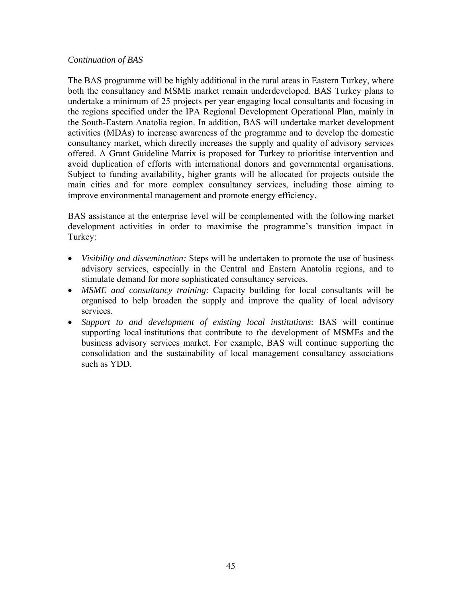### *Continuation of BAS*

The BAS programme will be highly additional in the rural areas in Eastern Turkey, where both the consultancy and MSME market remain underdeveloped. BAS Turkey plans to undertake a minimum of 25 projects per year engaging local consultants and focusing in the regions specified under the IPA Regional Development Operational Plan, mainly in the South-Eastern Anatolia region. In addition, BAS will undertake market development activities (MDAs) to increase awareness of the programme and to develop the domestic consultancy market, which directly increases the supply and quality of advisory services offered. A Grant Guideline Matrix is proposed for Turkey to prioritise intervention and avoid duplication of efforts with international donors and governmental organisations. Subject to funding availability, higher grants will be allocated for projects outside the main cities and for more complex consultancy services, including those aiming to improve environmental management and promote energy efficiency.

BAS assistance at the enterprise level will be complemented with the following market development activities in order to maximise the programme's transition impact in Turkey:

- *Visibility and dissemination:* Steps will be undertaken to promote the use of business advisory services, especially in the Central and Eastern Anatolia regions, and to stimulate demand for more sophisticated consultancy services.
- *MSME and consultancy training*: Capacity building for local consultants will be organised to help broaden the supply and improve the quality of local advisory services.
- *Support to and development of existing local institutions*: BAS will continue supporting local institutions that contribute to the development of MSMEs and the business advisory services market. For example, BAS will continue supporting the consolidation and the sustainability of local management consultancy associations such as YDD.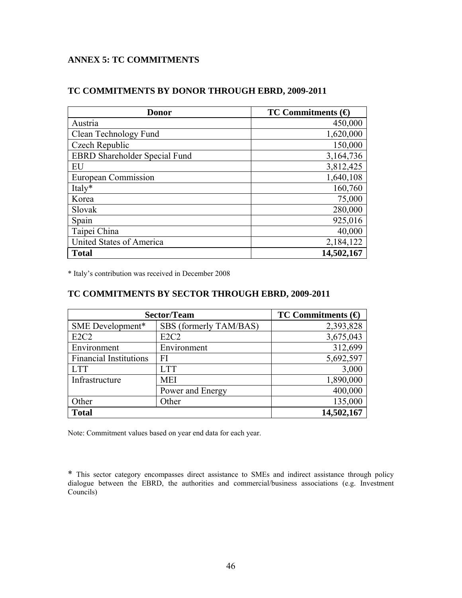# **ANNEX 5: TC COMMITMENTS**

### <span id="page-47-0"></span>**TC COMMITMENTS BY DONOR THROUGH EBRD, 2009-2011**

| <b>Donor</b>                         | TC Commitments $\Theta$ |
|--------------------------------------|-------------------------|
| Austria                              | 450,000                 |
| Clean Technology Fund                | 1,620,000               |
| Czech Republic                       | 150,000                 |
| <b>EBRD</b> Shareholder Special Fund | 3,164,736               |
| EU                                   | 3,812,425               |
| European Commission                  | 1,640,108               |
| Italy*                               | 160,760                 |
| Korea                                | 75,000                  |
| Slovak                               | 280,000                 |
| Spain                                | 925,016                 |
| Taipei China                         | 40,000                  |
| United States of America             | 2,184,122               |
| <b>Total</b>                         | 14,502,167              |

\* Italy's contribution was received in December 2008

### **TC COMMITMENTS BY SECTOR THROUGH EBRD, 2009-2011**

| Sector/Team                   | TC Commitments $\Theta$       |           |  |  |
|-------------------------------|-------------------------------|-----------|--|--|
| SME Development*              | SBS (formerly TAM/BAS)        | 2,393,828 |  |  |
| E <sub>2</sub> C <sub>2</sub> | E <sub>2</sub> C <sub>2</sub> | 3,675,043 |  |  |
| Environment                   | Environment                   | 312,699   |  |  |
| <b>Financial Institutions</b> | FI                            | 5,692,597 |  |  |
| <b>LTT</b>                    | <b>LTT</b>                    | 3,000     |  |  |
| Infrastructure                | <b>MEI</b>                    | 1,890,000 |  |  |
|                               | Power and Energy              | 400,000   |  |  |
| Other                         | Other                         | 135,000   |  |  |
| <b>Total</b>                  | 14,502,167                    |           |  |  |

Note: Commitment values based on year end data for each year.

\* This sector category encompasses direct assistance to SMEs and indirect assistance through policy dialogue between the EBRD, the authorities and commercial/business associations (e.g. Investment Councils)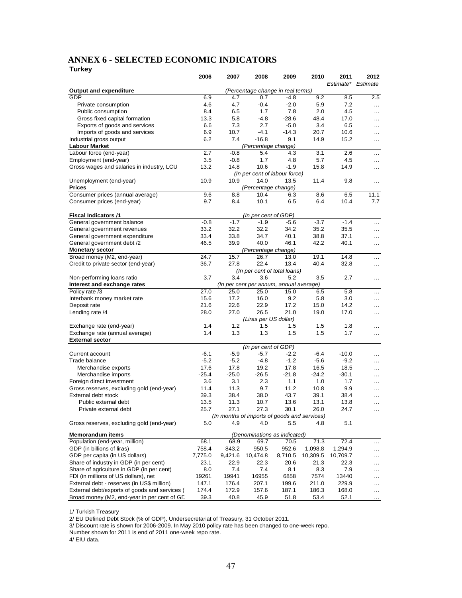#### **ANNEX 6 - SELECTED ECONOMIC INDICATORS Turkey**

<span id="page-48-0"></span>

| .                                                              | 2006                              | 2007       | 2008                  | 2009                                         | 2010           | 2011           | 2012      |
|----------------------------------------------------------------|-----------------------------------|------------|-----------------------|----------------------------------------------|----------------|----------------|-----------|
|                                                                |                                   |            |                       |                                              |                | Estimate*      | Estimate  |
| <b>Output and expenditure</b>                                  | (Percentage change in real terms) |            |                       |                                              |                |                |           |
| GDP                                                            | 6.9                               | 4.7        | 0.7                   | $-4.8$                                       | 9.2            | 8.5            | 2.5       |
| Private consumption                                            | 4.6                               | 4.7        | -0.4                  | $-2.0$                                       | 5.9            | 7.2            | $\cdots$  |
| Public consumption                                             | 8.4<br>13.3                       | 6.5<br>5.8 | 1.7<br>$-4.8$         | 7.8<br>$-28.6$                               | 2.0<br>48.4    | 4.5<br>17.0    | $\ddotsc$ |
| Gross fixed capital formation<br>Exports of goods and services | 6.6                               | 7.3        | 2.7                   | $-5.0$                                       | 3.4            | 6.5            | $\ddotsc$ |
| Imports of goods and services                                  | 6.9                               | 10.7       | $-4.1$                | $-14.3$                                      | 20.7           | 10.6           | $\cdots$  |
| Industrial gross output                                        | 6.2                               | 7.4        | $-16.8$               | 9.1                                          | 14.9           | 15.2           | $\cdots$  |
| <b>Labour Market</b>                                           |                                   |            | (Percentage change)   |                                              |                |                | .         |
| Labour force (end-year)                                        | 2.7                               | $-0.8$     | 5.4                   | 4.3                                          | 3.1            | 2.6            | $\cdots$  |
| Employment (end-year)                                          | 3.5                               | $-0.8$     | 1.7                   | 4.8                                          | 5.7            | 4.5            | $\cdots$  |
| Gross wages and salaries in industry, LCU                      | 13.2                              | 14.8       | 10.6                  | $-1.9$                                       | 15.8           | 14.9           | $\cdots$  |
|                                                                |                                   |            |                       | (In per cent of labour force)                |                |                |           |
| Unemployment (end-year)                                        | 10.9                              | 10.9       | 14.0                  | 13.5                                         | 11.4           | 9.8            | $\cdot$   |
| <b>Prices</b>                                                  |                                   |            | (Percentage change)   |                                              |                |                |           |
| Consumer prices (annual average)                               | 9.6                               | 8.8        | 10.4                  | 6.3                                          | 8.6            | 6.5            | 11.1      |
| Consumer prices (end-year)                                     | 9.7                               | 8.4        | 10.1                  | 6.5                                          | 6.4            | 10.4           | 7.7       |
|                                                                |                                   |            |                       |                                              |                |                |           |
| <b>Fiscal Indicators /1</b>                                    |                                   |            | (In per cent of GDP)  |                                              |                |                |           |
| General government balance                                     | $-0.8$                            | $-1.7$     | $-1.9$                | $-5.6$                                       | $-3.7$         | $-1.4$         | .         |
| General government revenues                                    | 33.2                              | 32.2       | 32.2                  | 34.2                                         | 35.2           | 35.5           | .         |
| General government expenditure                                 | 33.4                              | 33.8       | 34.7                  | 40.1                                         | 38.8           | 37.1           | .         |
| General government debt /2                                     | 46.5                              | 39.9       | 40.0                  | 46.1                                         | 42.2           | 40.1           | .         |
| <b>Monetary sector</b>                                         |                                   |            | (Percentage change)   |                                              |                |                |           |
| Broad money (M2, end-year)                                     | 24.7                              | 15.7       | 26.7                  | 13.0                                         | 19.1           | 14.8           | $\cdots$  |
| Credit to private sector (end-year)                            | 36.7                              | 27.8       | 22.4                  | 13.4                                         | 40.4           | 32.8           | $\cdots$  |
|                                                                |                                   |            |                       | (In per cent of total loans)                 |                |                |           |
| Non-performing loans ratio                                     | 3.7                               | 3.4        | 3.6                   | 5.2                                          | 3.5            | 2.7            | .         |
| Interest and exchange rates                                    |                                   |            |                       | (In per cent per annum, annual average)      |                |                |           |
| Policy rate /3                                                 | 27.0                              | 25.0       | 25.0                  | 15.0                                         | 6.5            | 5.8            | $\cdots$  |
| Interbank money market rate                                    | 15.6                              | 17.2       | 16.0                  | 9.2                                          | 5.8            | 3.0            | $\cdots$  |
| Deposit rate                                                   | 21.6                              | 22.6       | 22.9                  | 17.2                                         | 15.0           | 14.2           | .         |
| Lending rate /4                                                | 28.0                              | 27.0       | 26.5                  | 21.0                                         | 19.0           | 17.0           | .         |
|                                                                |                                   |            | (Liras per US dollar) |                                              |                |                |           |
| Exchange rate (end-year)                                       | 1.4                               | 1.2        | 1.5                   | 1.5                                          | 1.5            | 1.8            | .         |
| Exchange rate (annual average)                                 | 1.4                               | 1.3        | 1.3                   | 1.5                                          | 1.5            | 1.7            | .         |
| <b>External sector</b>                                         |                                   |            |                       |                                              |                |                |           |
|                                                                |                                   |            | (In per cent of GDP)  |                                              |                |                |           |
| Current account                                                | $-6.1$                            | $-5.9$     | $-5.7$                | $-2.2$                                       | $-6.4$         | $-10.0$        | $\cdots$  |
| Trade balance                                                  | $-5.2$                            | $-5.2$     | $-4.8$                | $-1.2$                                       | $-5.6$         | $-9.2$         | .         |
| Merchandise exports                                            | 17.6                              | 17.8       | 19.2                  | 17.8                                         | 16.5           | 18.5           | $\cdot$   |
| Merchandise imports                                            | $-25.4$                           | $-25.0$    | $-26.5$               | $-21.8$                                      | $-24.2$        | $-30.1$        | $\cdots$  |
| Foreign direct investment                                      | 3.6                               | 3.1        | 2.3                   | 1.1                                          | 1.0            | 1.7            | $\cdots$  |
| Gross reserves, excluding gold (end-year)                      | 11.4                              | 11.3       | 9.7                   | 11.2                                         | 10.8           | 9.9            | .         |
| External debt stock                                            | 39.3                              | 38.4       | 38.0                  | 43.7                                         | 39.1           | 38.4           | .         |
| Public external debt                                           | 13.5                              | 11.3       | 10.7                  | 13.6                                         | 13.1           | 13.8           | $\ddotsc$ |
| Private external debt                                          | 25.7                              | 27.1       | 27.3                  | 30.1                                         | 26.0           | 24.7           |           |
|                                                                |                                   |            |                       | (In months of imports of goods and services) |                |                |           |
| Gross reserves, excluding gold (end-year)                      | 5.0                               | 4.9        | 4.0                   | 5.5                                          | 4.8            | 5.1            |           |
| <b>Memorandum items</b><br>(Denominations as indicated)        |                                   |            |                       |                                              |                |                |           |
| Population (end-year, million)                                 | 68.1                              | 68.9       | 69.7                  | 70.5                                         | 71.3           | 72.4           |           |
| GDP (in billions of liras)                                     | 758.4                             | 843.2      | 950.5                 | 952.6                                        | 1,098.8        | 1,294.9        | $\cdots$  |
| GDP per capita (in US dollars)                                 | 7,775.0                           | 9,421.6    | 10,474.8              | 8,710.5                                      | 10,309.5       | 10,709.7       | $\cdots$  |
| Share of industry in GDP (in per cent)                         | 23.1                              | 22.9       | 22.3                  | 20.6                                         | 21.3           | 22.3           |           |
| Share of agriculture in GDP (in per cent)                      | 8.0                               | 7.4        | 7.4                   | 8.1                                          | 8.3            | 7.9            |           |
| FDI (in millions of US dollars), net                           | 19261                             | 19941      | 16955                 | 6858                                         | 7574           |                | .         |
| External debt - reserves (in US\$ million)                     | 147.1                             | 176.4      |                       | 199.6                                        |                | 13440<br>229.9 | .         |
| External debt/exports of goods and services (                  | 174.4                             | 172.9      | 207.1<br>157.6        | 187.1                                        | 211.0<br>186.3 | 168.0          | .         |
| Broad money (M2, end-year in per cent of GD                    | 39.3                              | 40.8       | 45.9                  | 51.8                                         | 53.4           | 52.1           | .         |
|                                                                |                                   |            |                       |                                              |                |                |           |

1/ Turkish Treasury

2/ EU Defined Debt Stock (% of GDP), Undersecretariat of Treasury, 31 October 2011.

3/ Discount rate is shown for 2006-2009. In May 2010 policy rate has been changed to one-week repo.

Number shown for 2011 is end of 2011 one-week repo rate.

4/ EIU data.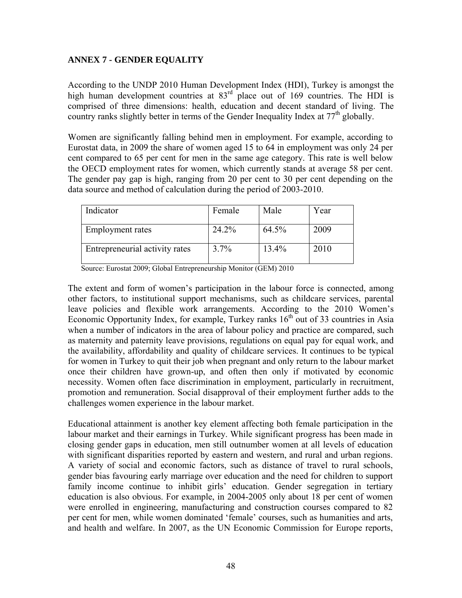# **ANNEX 7 - GENDER EQUALITY**

<span id="page-49-0"></span>According to the UNDP 2010 Human Development Index (HDI), Turkey is amongst the high human development countries at  $83<sup>rd</sup>$  place out of 169 countries. The HDI is comprised of three dimensions: health, education and decent standard of living. The country ranks slightly better in terms of the Gender Inequality Index at  $77<sup>th</sup>$  globally.

Women are significantly falling behind men in employment. For example, according to Eurostat data, in 2009 the share of women aged 15 to 64 in employment was only 24 per cent compared to 65 per cent for men in the same age category. This rate is well below the OECD employment rates for women, which currently stands at average 58 per cent. The gender pay gap is high, ranging from 20 per cent to 30 per cent depending on the data source and method of calculation during the period of 2003-2010.

| Indicator                      | Female | Male  | Year |
|--------------------------------|--------|-------|------|
| Employment rates               | 24.2%  | 64.5% | 2009 |
| Entrepreneurial activity rates | 3.7%   | 13.4% | 2010 |

Source: Eurostat 2009; Global Entrepreneurship Monitor (GEM) 2010

The extent and form of women's participation in the labour force is connected, among other factors, to institutional support mechanisms, such as childcare services, parental leave policies and flexible work arrangements. According to the 2010 Women's Economic Opportunity Index, for example, Turkey ranks  $16<sup>th</sup>$  out of 33 countries in Asia when a number of indicators in the area of labour policy and practice are compared, such as maternity and paternity leave provisions, regulations on equal pay for equal work, and the availability, affordability and quality of childcare services. It continues to be typical for women in Turkey to quit their job when pregnant and only return to the labour market once their children have grown-up, and often then only if motivated by economic necessity. Women often face discrimination in employment, particularly in recruitment, promotion and remuneration. Social disapproval of their employment further adds to the challenges women experience in the labour market.

Educational attainment is another key element affecting both female participation in the labour market and their earnings in Turkey. While significant progress has been made in closing gender gaps in education, men still outnumber women at all levels of education with significant disparities reported by eastern and western, and rural and urban regions. A variety of social and economic factors, such as distance of travel to rural schools, gender bias favouring early marriage over education and the need for children to support family income continue to inhibit girls' education. Gender segregation in tertiary education is also obvious. For example, in 2004-2005 only about 18 per cent of women were enrolled in engineering, manufacturing and construction courses compared to 82 per cent for men, while women dominated 'female' courses, such as humanities and arts, and health and welfare. In 2007, as the UN Economic Commission for Europe reports,